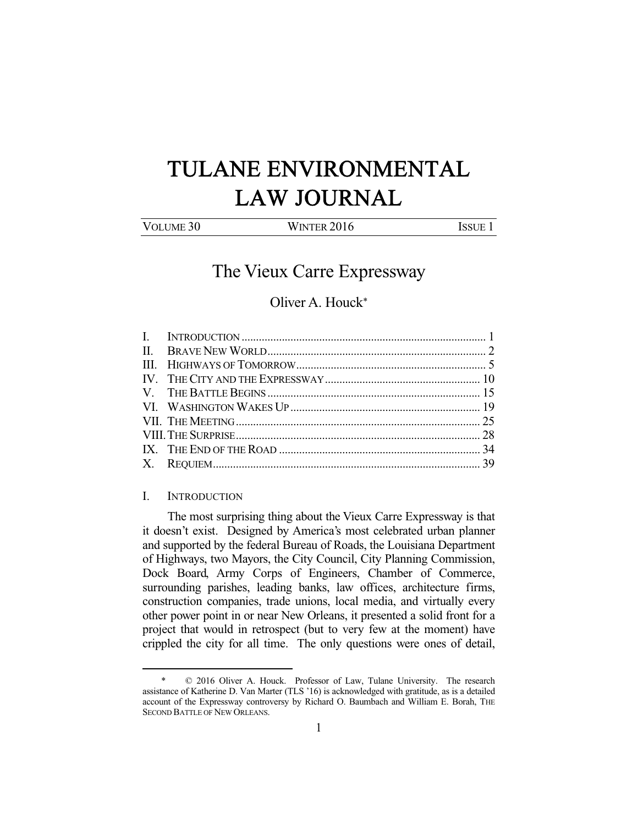# TULANE ENVIRONMENTAL LAW JOURNAL

| VOLUME 30 |  |
|-----------|--|
|           |  |

WINTER 2016 **ISSUE 1** 

## The Vieux Carre Expressway

### Oliver A. Houck\*

#### I. INTRODUCTION

-

 The most surprising thing about the Vieux Carre Expressway is that it doesn't exist. Designed by America's most celebrated urban planner and supported by the federal Bureau of Roads, the Louisiana Department of Highways, two Mayors, the City Council, City Planning Commission, Dock Board, Army Corps of Engineers, Chamber of Commerce, surrounding parishes, leading banks, law offices, architecture firms, construction companies, trade unions, local media, and virtually every other power point in or near New Orleans, it presented a solid front for a project that would in retrospect (but to very few at the moment) have crippled the city for all time. The only questions were ones of detail,

 <sup>\* © 2016</sup> Oliver A. Houck. Professor of Law, Tulane University. The research assistance of Katherine D. Van Marter (TLS '16) is acknowledged with gratitude, as is a detailed account of the Expressway controversy by Richard O. Baumbach and William E. Borah, THE SECOND BATTLE OF NEW ORLEANS.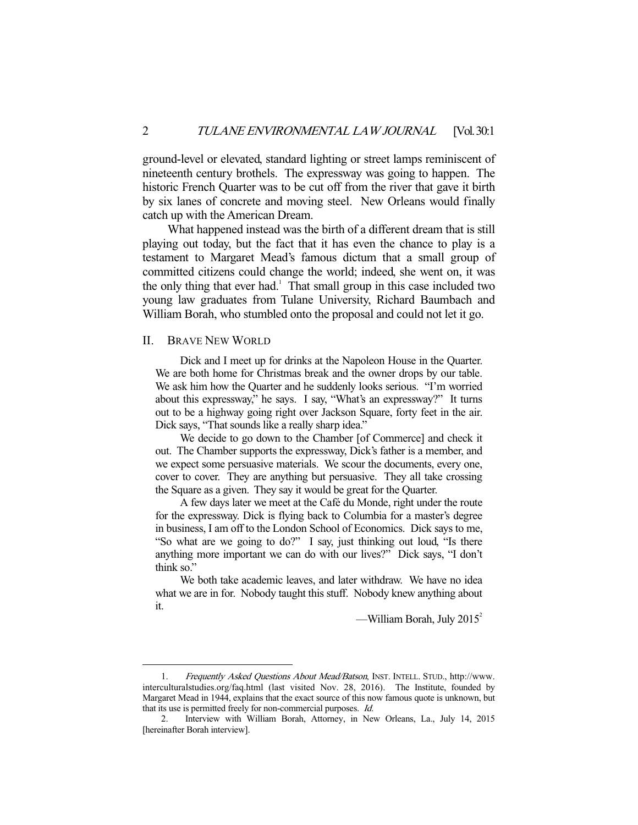ground-level or elevated, standard lighting or street lamps reminiscent of nineteenth century brothels. The expressway was going to happen. The historic French Quarter was to be cut off from the river that gave it birth by six lanes of concrete and moving steel. New Orleans would finally catch up with the American Dream.

 What happened instead was the birth of a different dream that is still playing out today, but the fact that it has even the chance to play is a testament to Margaret Mead's famous dictum that a small group of committed citizens could change the world; indeed, she went on, it was the only thing that ever had.<sup>1</sup> That small group in this case included two young law graduates from Tulane University, Richard Baumbach and William Borah, who stumbled onto the proposal and could not let it go.

#### II. BRAVE NEW WORLD

-

 Dick and I meet up for drinks at the Napoleon House in the Quarter. We are both home for Christmas break and the owner drops by our table. We ask him how the Quarter and he suddenly looks serious. "I'm worried about this expressway," he says. I say, "What's an expressway?" It turns out to be a highway going right over Jackson Square, forty feet in the air. Dick says, "That sounds like a really sharp idea."

 We decide to go down to the Chamber [of Commerce] and check it out. The Chamber supports the expressway, Dick's father is a member, and we expect some persuasive materials. We scour the documents, every one, cover to cover. They are anything but persuasive. They all take crossing the Square as a given. They say it would be great for the Quarter.

 A few days later we meet at the Café du Monde, right under the route for the expressway. Dick is flying back to Columbia for a master's degree in business, I am off to the London School of Economics. Dick says to me, "So what are we going to do?" I say, just thinking out loud, "Is there anything more important we can do with our lives?" Dick says, "I don't think so."

 We both take academic leaves, and later withdraw. We have no idea what we are in for. Nobody taught this stuff. Nobody knew anything about it.

—William Borah, July  $2015^2$ 

<sup>1.</sup> Frequently Asked Questions About Mead/Batson, INST. INTELL. STUD., http://www. interculturalstudies.org/faq.html (last visited Nov. 28, 2016). The Institute, founded by Margaret Mead in 1944, explains that the exact source of this now famous quote is unknown, but that its use is permitted freely for non-commercial purposes. Id.

 <sup>2.</sup> Interview with William Borah, Attorney, in New Orleans, La., July 14, 2015 [hereinafter Borah interview].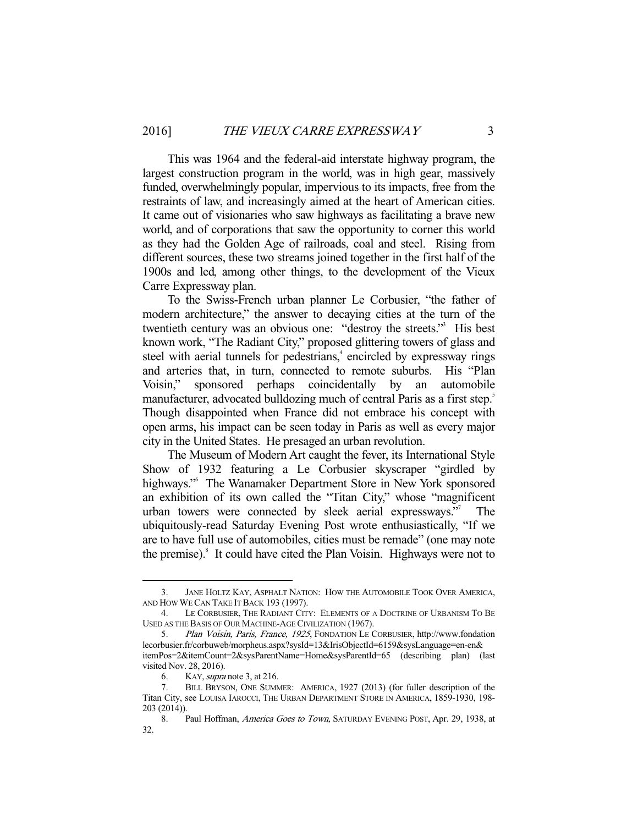This was 1964 and the federal-aid interstate highway program, the largest construction program in the world, was in high gear, massively funded, overwhelmingly popular, impervious to its impacts, free from the restraints of law, and increasingly aimed at the heart of American cities. It came out of visionaries who saw highways as facilitating a brave new world, and of corporations that saw the opportunity to corner this world as they had the Golden Age of railroads, coal and steel. Rising from different sources, these two streams joined together in the first half of the 1900s and led, among other things, to the development of the Vieux Carre Expressway plan.

 To the Swiss-French urban planner Le Corbusier, "the father of modern architecture," the answer to decaying cities at the turn of the twentieth century was an obvious one: "destroy the streets."3 His best known work, "The Radiant City," proposed glittering towers of glass and steel with aerial tunnels for pedestrians,<sup>4</sup> encircled by expressway rings and arteries that, in turn, connected to remote suburbs. His "Plan Voisin," sponsored perhaps coincidentally by an automobile manufacturer, advocated bulldozing much of central Paris as a first step.<sup>5</sup> Though disappointed when France did not embrace his concept with open arms, his impact can be seen today in Paris as well as every major city in the United States. He presaged an urban revolution.

 The Museum of Modern Art caught the fever, its International Style Show of 1932 featuring a Le Corbusier skyscraper "girdled by highways."<sup>6</sup> The Wanamaker Department Store in New York sponsored an exhibition of its own called the "Titan City," whose "magnificent urban towers were connected by sleek aerial expressways." The ubiquitously-read Saturday Evening Post wrote enthusiastically, "If we are to have full use of automobiles, cities must be remade" (one may note the premise).<sup>8</sup> It could have cited the Plan Voisin. Highways were not to

 <sup>3.</sup> JANE HOLTZ KAY, ASPHALT NATION: HOW THE AUTOMOBILE TOOK OVER AMERICA, AND HOW WE CAN TAKE IT BACK 193 (1997).

 <sup>4.</sup> LE CORBUSIER, THE RADIANT CITY: ELEMENTS OF A DOCTRINE OF URBANISM TO BE USED AS THE BASIS OF OUR MACHINE-AGE CIVILIZATION (1967).

 <sup>5.</sup> Plan Voisin, Paris, France, 1925, FONDATION LE CORBUSIER, http://www.fondation lecorbusier.fr/corbuweb/morpheus.aspx?sysId=13&IrisObjectId=6159&sysLanguage=en-en& itemPos=2&itemCount=2&sysParentName=Home&sysParentId=65 (describing plan) (last visited Nov. 28, 2016).

 <sup>6.</sup> KAY,supra note 3, at 216.

 <sup>7.</sup> BILL BRYSON, ONE SUMMER: AMERICA, 1927 (2013) (for fuller description of the Titan City, see LOUISA IAROCCI, THE URBAN DEPARTMENT STORE IN AMERICA, 1859-1930, 198- 203 (2014)).

<sup>8.</sup> Paul Hoffman, America Goes to Town, SATURDAY EVENING POST, Apr. 29, 1938, at 32.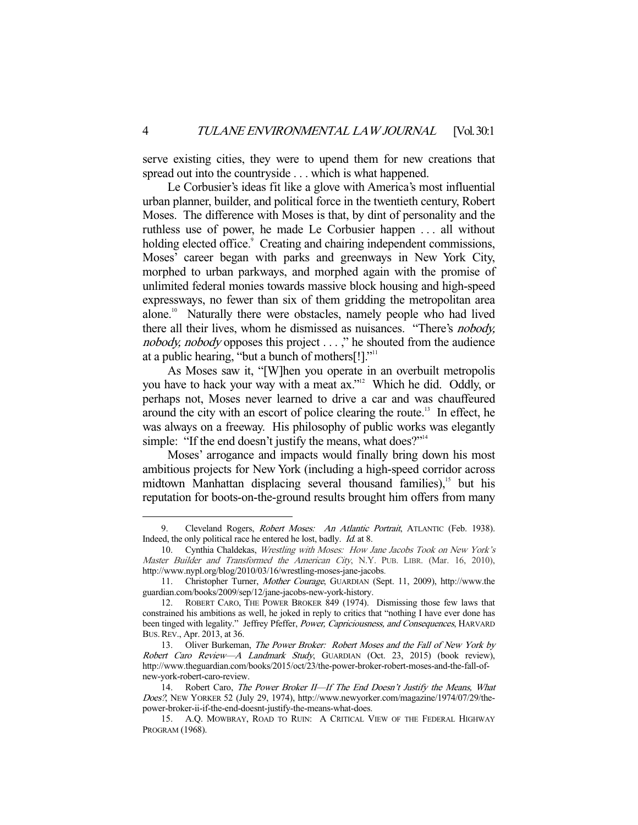serve existing cities, they were to upend them for new creations that spread out into the countryside . . . which is what happened.

 Le Corbusier's ideas fit like a glove with America's most influential urban planner, builder, and political force in the twentieth century, Robert Moses. The difference with Moses is that, by dint of personality and the ruthless use of power, he made Le Corbusier happen . . . all without holding elected office.<sup>9</sup> Creating and chairing independent commissions, Moses' career began with parks and greenways in New York City, morphed to urban parkways, and morphed again with the promise of unlimited federal monies towards massive block housing and high-speed expressways, no fewer than six of them gridding the metropolitan area alone.<sup>10</sup> Naturally there were obstacles, namely people who had lived there all their lives, whom he dismissed as nuisances. "There's nobody, nobody, nobody opposes this project . . . ," he shouted from the audience at a public hearing, "but a bunch of mothers $[!]$ ."<sup>11</sup>

 As Moses saw it, "[W]hen you operate in an overbuilt metropolis you have to hack your way with a meat ax."12 Which he did. Oddly, or perhaps not, Moses never learned to drive a car and was chauffeured around the city with an escort of police clearing the route.<sup>13</sup> In effect, he was always on a freeway. His philosophy of public works was elegantly simple: "If the end doesn't justify the means, what does?"<sup>14</sup>

 Moses' arrogance and impacts would finally bring down his most ambitious projects for New York (including a high-speed corridor across midtown Manhattan displacing several thousand families), $15$  but his reputation for boots-on-the-ground results brought him offers from many

<sup>9.</sup> Cleveland Rogers, Robert Moses: An Atlantic Portrait, ATLANTIC (Feb. 1938). Indeed, the only political race he entered he lost, badly. Id. at 8.

 <sup>10.</sup> Cynthia Chaldekas, Wrestling with Moses: How Jane Jacobs Took on New York's Master Builder and Transformed the American City, N.Y. PUB. LIBR. (Mar. 16, 2010), http://www.nypl.org/blog/2010/03/16/wrestling-moses-jane-jacobs.

 <sup>11.</sup> Christopher Turner, Mother Courage, GUARDIAN (Sept. 11, 2009), http://www.the guardian.com/books/2009/sep/12/jane-jacobs-new-york-history.

ROBERT CARO, THE POWER BROKER 849 (1974). Dismissing those few laws that constrained his ambitions as well, he joked in reply to critics that "nothing I have ever done has been tinged with legality." Jeffrey Pfeffer, Power, Capriciousness, and Consequences, HARVARD BUS.REV., Apr. 2013, at 36.

<sup>13.</sup> Oliver Burkeman, The Power Broker: Robert Moses and the Fall of New York by Robert Caro Review—A Landmark Study, GUARDIAN (Oct. 23, 2015) (book review), http://www.theguardian.com/books/2015/oct/23/the-power-broker-robert-moses-and-the-fall-ofnew-york-robert-caro-review.

<sup>14.</sup> Robert Caro, The Power Broker II-If The End Doesn't Justify the Means, What Does?, NEW YORKER 52 (July 29, 1974), http://www.newyorker.com/magazine/1974/07/29/thepower-broker-ii-if-the-end-doesnt-justify-the-means-what-does.

 <sup>15.</sup> A.Q. MOWBRAY, ROAD TO RUIN: A CRITICAL VIEW OF THE FEDERAL HIGHWAY PROGRAM (1968).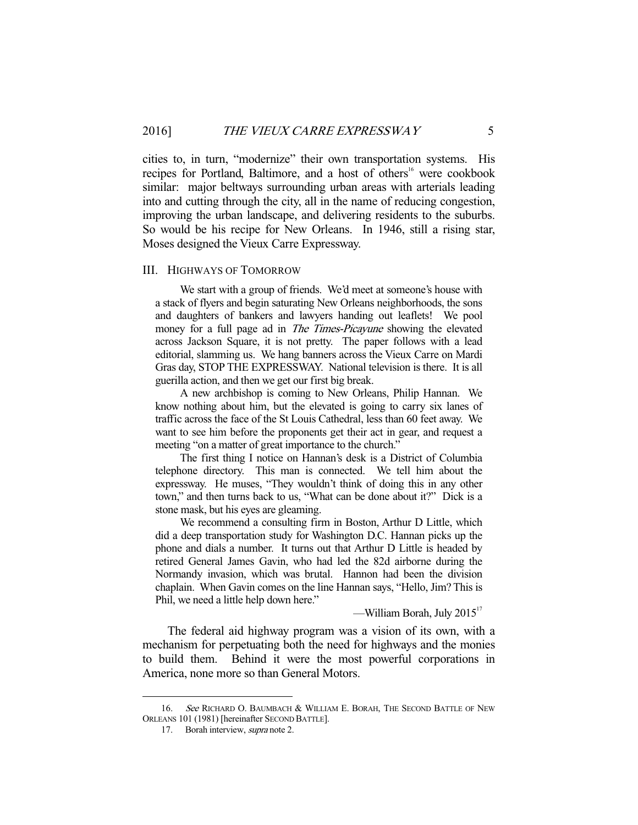cities to, in turn, "modernize" their own transportation systems. His recipes for Portland, Baltimore, and a host of others<sup>16</sup> were cookbook similar: major beltways surrounding urban areas with arterials leading into and cutting through the city, all in the name of reducing congestion, improving the urban landscape, and delivering residents to the suburbs. So would be his recipe for New Orleans. In 1946, still a rising star, Moses designed the Vieux Carre Expressway.

#### III. HIGHWAYS OF TOMORROW

 We start with a group of friends. We'd meet at someone's house with a stack of flyers and begin saturating New Orleans neighborhoods, the sons and daughters of bankers and lawyers handing out leaflets! We pool money for a full page ad in *The Times-Picayune* showing the elevated across Jackson Square, it is not pretty. The paper follows with a lead editorial, slamming us. We hang banners across the Vieux Carre on Mardi Gras day, STOP THE EXPRESSWAY. National television is there. It is all guerilla action, and then we get our first big break.

 A new archbishop is coming to New Orleans, Philip Hannan. We know nothing about him, but the elevated is going to carry six lanes of traffic across the face of the St Louis Cathedral, less than 60 feet away. We want to see him before the proponents get their act in gear, and request a meeting "on a matter of great importance to the church."

 The first thing I notice on Hannan's desk is a District of Columbia telephone directory. This man is connected. We tell him about the expressway. He muses, "They wouldn't think of doing this in any other town," and then turns back to us, "What can be done about it?" Dick is a stone mask, but his eyes are gleaming.

 We recommend a consulting firm in Boston, Arthur D Little, which did a deep transportation study for Washington D.C. Hannan picks up the phone and dials a number. It turns out that Arthur D Little is headed by retired General James Gavin, who had led the 82d airborne during the Normandy invasion, which was brutal. Hannon had been the division chaplain. When Gavin comes on the line Hannan says, "Hello, Jim? This is Phil, we need a little help down here."

—William Borah, July  $2015<sup>17</sup>$ 

 The federal aid highway program was a vision of its own, with a mechanism for perpetuating both the need for highways and the monies to build them. Behind it were the most powerful corporations in America, none more so than General Motors.

<sup>16.</sup> See RICHARD O. BAUMBACH & WILLIAM E. BORAH, THE SECOND BATTLE OF NEW ORLEANS 101 (1981) [hereinafter SECOND BATTLE].

 <sup>17.</sup> Borah interview, supra note 2.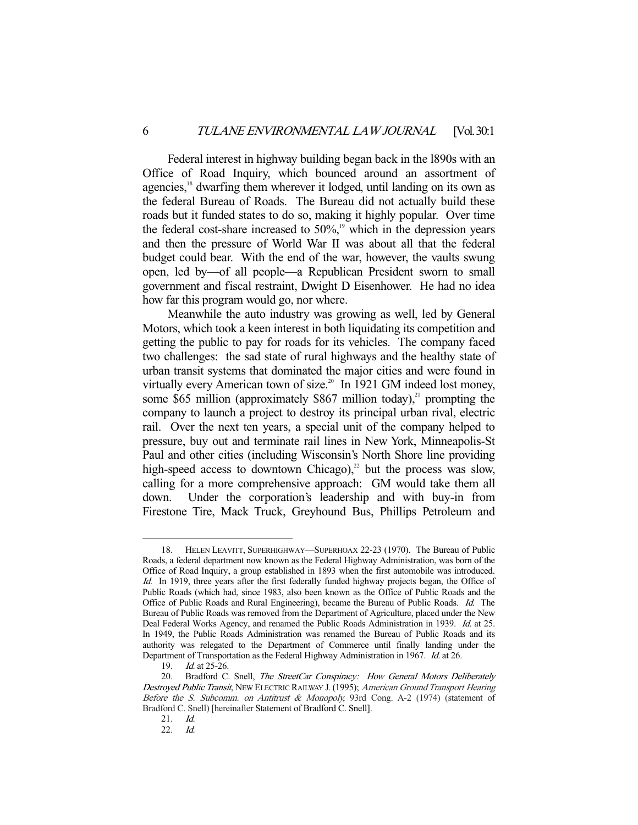Federal interest in highway building began back in the l890s with an Office of Road Inquiry, which bounced around an assortment of agencies,<sup>18</sup> dwarfing them wherever it lodged, until landing on its own as the federal Bureau of Roads. The Bureau did not actually build these roads but it funded states to do so, making it highly popular. Over time the federal cost-share increased to  $50\%$ ,<sup>19</sup> which in the depression years and then the pressure of World War II was about all that the federal budget could bear. With the end of the war, however, the vaults swung open, led by—of all people—a Republican President sworn to small government and fiscal restraint, Dwight D Eisenhower. He had no idea how far this program would go, nor where.

 Meanwhile the auto industry was growing as well, led by General Motors, which took a keen interest in both liquidating its competition and getting the public to pay for roads for its vehicles. The company faced two challenges: the sad state of rural highways and the healthy state of urban transit systems that dominated the major cities and were found in virtually every American town of size.<sup>20</sup> In 1921 GM indeed lost money, some \$65 million (approximately \$867 million today),<sup>21</sup> prompting the company to launch a project to destroy its principal urban rival, electric rail. Over the next ten years, a special unit of the company helped to pressure, buy out and terminate rail lines in New York, Minneapolis-St Paul and other cities (including Wisconsin's North Shore line providing high-speed access to downtown Chicago),<sup>22</sup> but the process was slow, calling for a more comprehensive approach: GM would take them all down. Under the corporation's leadership and with buy-in from Firestone Tire, Mack Truck, Greyhound Bus, Phillips Petroleum and

 <sup>18.</sup> HELEN LEAVITT, SUPERHIGHWAY—SUPERHOAX 22-23 (1970). The Bureau of Public Roads, a federal department now known as the Federal Highway Administration, was born of the Office of Road Inquiry, a group established in 1893 when the first automobile was introduced. Id. In 1919, three years after the first federally funded highway projects began, the Office of Public Roads (which had, since 1983, also been known as the Office of Public Roads and the Office of Public Roads and Rural Engineering), became the Bureau of Public Roads. Id. The Bureau of Public Roads was removed from the Department of Agriculture, placed under the New Deal Federal Works Agency, and renamed the Public Roads Administration in 1939. Id. at 25. In 1949, the Public Roads Administration was renamed the Bureau of Public Roads and its authority was relegated to the Department of Commerce until finally landing under the Department of Transportation as the Federal Highway Administration in 1967. Id. at 26.

 <sup>19.</sup> Id. at 25-26.

<sup>20.</sup> Bradford C. Snell, The StreetCar Conspiracy: How General Motors Deliberately Destroyed Public Transit, NEW ELECTRIC RAILWAY J. (1995); American Ground Transport Hearing Before the S. Subcomm. on Antitrust & Monopoly, 93rd Cong. A-2 (1974) (statement of Bradford C. Snell) [hereinafter Statement of Bradford C. Snell].

 <sup>21.</sup> Id.

 <sup>22.</sup> Id.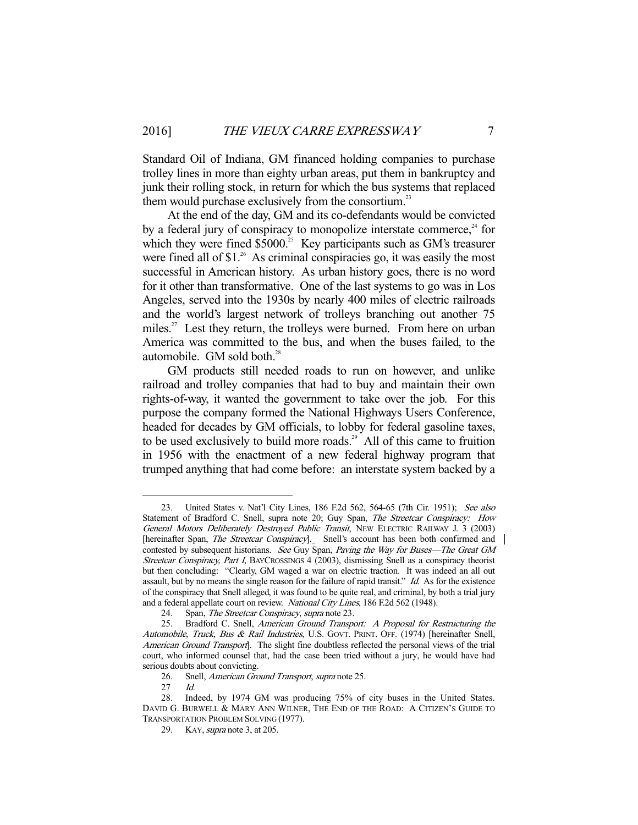Standard Oil of Indiana, GM financed holding companies to purchase trolley lines in more than eighty urban areas, put them in bankruptcy and junk their rolling stock, in return for which the bus systems that replaced them would purchase exclusively from the consortium.<sup>23</sup>

 At the end of the day, GM and its co-defendants would be convicted by a federal jury of conspiracy to monopolize interstate commerce, $24$  for which they were fined  $$5000$ .<sup>25</sup> Key participants such as GM's treasurer were fined all of \$1.<sup>26</sup> As criminal conspiracies go, it was easily the most successful in American history. As urban history goes, there is no word for it other than transformative. One of the last systems to go was in Los Angeles, served into the 1930s by nearly 400 miles of electric railroads and the world's largest network of trolleys branching out another 75 miles.<sup>27</sup> Lest they return, the trolleys were burned. From here on urban America was committed to the bus, and when the buses failed, to the automobile. GM sold both.<sup>28</sup>

 GM products still needed roads to run on however, and unlike railroad and trolley companies that had to buy and maintain their own rights-of-way, it wanted the government to take over the job. For this purpose the company formed the National Highways Users Conference, headed for decades by GM officials, to lobby for federal gasoline taxes, to be used exclusively to build more roads.<sup>29</sup> All of this came to fruition in 1956 with the enactment of a new federal highway program that trumped anything that had come before: an interstate system backed by a

 <sup>23.</sup> United States v. Nat'l City Lines, 186 F.2d 562, 564-65 (7th Cir. 1951); See also Statement of Bradford C. Snell, supra note 20; Guy Span, The Streetcar Conspiracy: How General Motors Deliberately Destroyed Public Transit, NEW ELECTRIC RAILWAY J. 3 (2003) [hereinafter Span, *The Streetcar Conspiracy*]. Snell's account has been both confirmed and contested by subsequent historians. See Guy Span, Paving the Way for Buses-The Great GM Streetcar Conspiracy, Part I, BAYCROSSINGS 4 (2003), dismissing Snell as a conspiracy theorist but then concluding: "Clearly, GM waged a war on electric traction. It was indeed an all out assault, but by no means the single reason for the failure of rapid transit." Id. As for the existence of the conspiracy that Snell alleged, it was found to be quite real, and criminal, by both a trial jury and a federal appellate court on review. National City Lines, 186 F.2d 562 (1948).

<sup>24.</sup> Span, *The Streetcar Conspiracy, supra* note 23.<br>25. Bradford C. Snell, *American Ground Transp* 

 <sup>25.</sup> Bradford C. Snell, American Ground Transport: A Proposal for Restructuring the Automobile, Truck, Bus & Rail Industries, U.S. GOVT. PRINT. OFF. (1974) [hereinafter Snell, American Ground Transport]. The slight fine doubtless reflected the personal views of the trial court, who informed counsel that, had the case been tried without a jury, he would have had serious doubts about convicting.

 <sup>26.</sup> Snell, American Ground Transport, supra note 25.

 <sup>27</sup> Id.

 <sup>28.</sup> Indeed, by 1974 GM was producing 75% of city buses in the United States. DAVID G. BURWELL & MARY ANN WILNER, THE END OF THE ROAD: A CITIZEN'S GUIDE TO TRANSPORTATION PROBLEM SOLVING (1977).

<sup>29.</sup> KAY, *supra* note 3, at 205.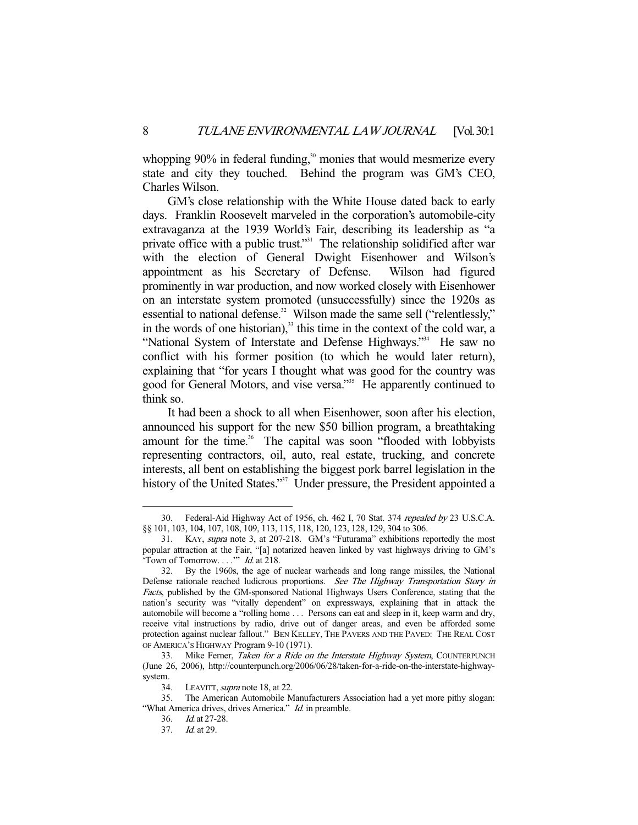whopping  $90\%$  in federal funding, $30\%$  monies that would mesmerize every state and city they touched. Behind the program was GM's CEO, Charles Wilson.

 GM's close relationship with the White House dated back to early days. Franklin Roosevelt marveled in the corporation's automobile-city extravaganza at the 1939 World's Fair, describing its leadership as "a private office with a public trust."<sup>31</sup> The relationship solidified after war with the election of General Dwight Eisenhower and Wilson's appointment as his Secretary of Defense. Wilson had figured prominently in war production, and now worked closely with Eisenhower on an interstate system promoted (unsuccessfully) since the 1920s as essential to national defense.<sup>32</sup> Wilson made the same sell ("relentlessly," in the words of one historian), $33$  this time in the context of the cold war, a "National System of Interstate and Defense Highways."<sup>34</sup> He saw no conflict with his former position (to which he would later return), explaining that "for years I thought what was good for the country was good for General Motors, and vise versa."35 He apparently continued to think so.

 It had been a shock to all when Eisenhower, soon after his election, announced his support for the new \$50 billion program, a breathtaking amount for the time.<sup>36</sup> The capital was soon "flooded with lobbyists representing contractors, oil, auto, real estate, trucking, and concrete interests, all bent on establishing the biggest pork barrel legislation in the history of the United States."<sup>37</sup> Under pressure, the President appointed a

 <sup>30.</sup> Federal-Aid Highway Act of 1956, ch. 462 I, 70 Stat. 374 repealed by 23 U.S.C.A. §§ 101, 103, 104, 107, 108, 109, 113, 115, 118, 120, 123, 128, 129, 304 to 306.

 <sup>31.</sup> KAY, supra note 3, at 207-218. GM's "Futurama" exhibitions reportedly the most popular attraction at the Fair, "[a] notarized heaven linked by vast highways driving to GM's 'Town of Tomorrow. . . .'" Id. at 218.

 <sup>32.</sup> By the 1960s, the age of nuclear warheads and long range missiles, the National Defense rationale reached ludicrous proportions. See The Highway Transportation Story in Facts, published by the GM-sponsored National Highways Users Conference, stating that the nation's security was "vitally dependent" on expressways, explaining that in attack the automobile will become a "rolling home . . . Persons can eat and sleep in it, keep warm and dry, receive vital instructions by radio, drive out of danger areas, and even be afforded some protection against nuclear fallout." BEN KELLEY, THE PAVERS AND THE PAVED: THE REAL COST OF AMERICA'S HIGHWAY Program 9-10 (1971).

<sup>33.</sup> Mike Ferner, Taken for a Ride on the Interstate Highway System, COUNTERPUNCH (June 26, 2006), http://counterpunch.org/2006/06/28/taken-for-a-ride-on-the-interstate-highwaysystem.

<sup>34.</sup> LEAVITT, *supra* note 18, at 22.

 <sup>35.</sup> The American Automobile Manufacturers Association had a yet more pithy slogan: "What America drives, drives America." *Id.* in preamble.

 <sup>36.</sup> Id. at 27-28.

 <sup>37.</sup> Id. at 29.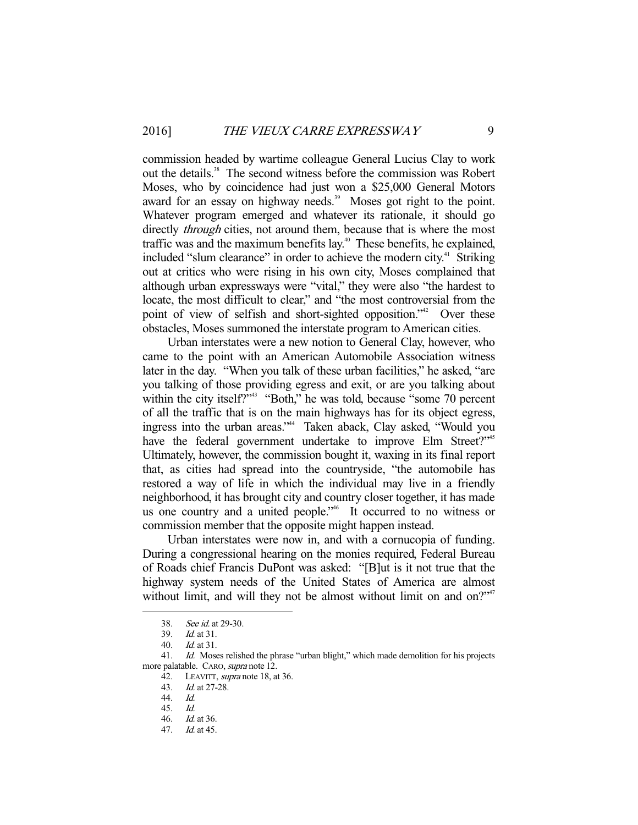commission headed by wartime colleague General Lucius Clay to work out the details.<sup>38</sup> The second witness before the commission was Robert Moses, who by coincidence had just won a \$25,000 General Motors award for an essay on highway needs.<sup>39</sup> Moses got right to the point. Whatever program emerged and whatever its rationale, it should go directly *through* cities, not around them, because that is where the most traffic was and the maximum benefits lay.<sup>40</sup> These benefits, he explained, included "slum clearance" in order to achieve the modern city. $4$  Striking out at critics who were rising in his own city, Moses complained that although urban expressways were "vital," they were also "the hardest to locate, the most difficult to clear," and "the most controversial from the point of view of selfish and short-sighted opposition."<sup>42</sup> Over these obstacles, Moses summoned the interstate program to American cities.

 Urban interstates were a new notion to General Clay, however, who came to the point with an American Automobile Association witness later in the day. "When you talk of these urban facilities," he asked, "are you talking of those providing egress and exit, or are you talking about within the city itself?"<sup>43</sup> "Both," he was told, because "some 70 percent of all the traffic that is on the main highways has for its object egress, ingress into the urban areas."44 Taken aback, Clay asked, "Would you have the federal government undertake to improve Elm Street?"<sup>45</sup> Ultimately, however, the commission bought it, waxing in its final report that, as cities had spread into the countryside, "the automobile has restored a way of life in which the individual may live in a friendly neighborhood, it has brought city and country closer together, it has made us one country and a united people.<sup>246</sup> It occurred to no witness or commission member that the opposite might happen instead.

 Urban interstates were now in, and with a cornucopia of funding. During a congressional hearing on the monies required, Federal Bureau of Roads chief Francis DuPont was asked: "[B]ut is it not true that the highway system needs of the United States of America are almost without limit, and will they not be almost without limit on and on?"<sup>47</sup>

 <sup>38.</sup> See id. at 29-30.

 <sup>39.</sup> Id. at 31.

 <sup>40.</sup> Id. at 31.

<sup>41.</sup> *Id.* Moses relished the phrase "urban blight," which made demolition for his projects more palatable. CARO, supra note 12.

<sup>42.</sup> LEAVITT, *supra* note 18, at 36.

 <sup>43.</sup> Id. at 27-28.

 <sup>44.</sup> Id.

 <sup>45.</sup> Id. *Id.* at 36.

 <sup>47.</sup> Id. at 45.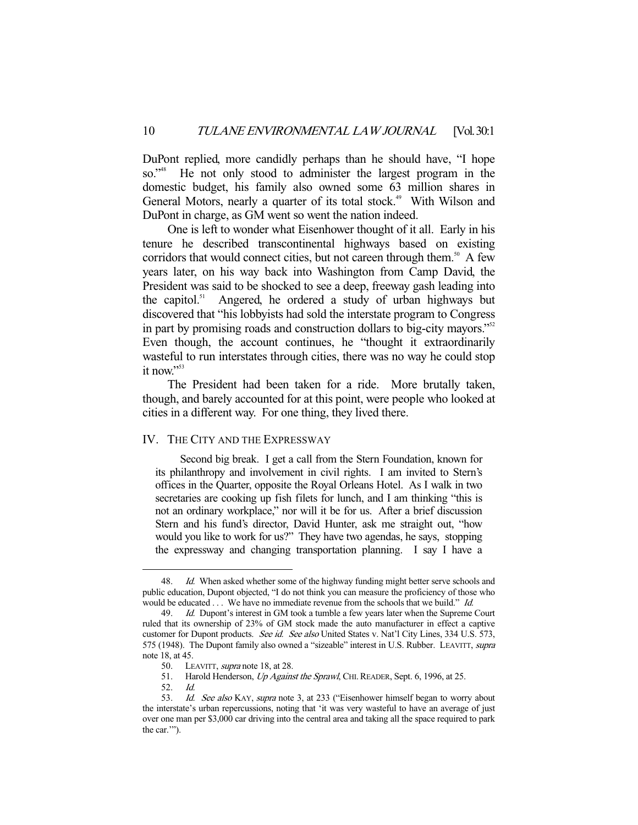DuPont replied, more candidly perhaps than he should have, "I hope so."<sup>48</sup> He not only stood to administer the largest program in the domestic budget, his family also owned some 63 million shares in General Motors, nearly a quarter of its total stock.<sup>49</sup> With Wilson and DuPont in charge, as GM went so went the nation indeed.

 One is left to wonder what Eisenhower thought of it all. Early in his tenure he described transcontinental highways based on existing corridors that would connect cities, but not careen through them.<sup>50</sup> A few years later, on his way back into Washington from Camp David, the President was said to be shocked to see a deep, freeway gash leading into the capitol.<sup>51</sup> Angered, he ordered a study of urban highways but discovered that "his lobbyists had sold the interstate program to Congress in part by promising roads and construction dollars to big-city mayors."<sup>52</sup> Even though, the account continues, he "thought it extraordinarily wasteful to run interstates through cities, there was no way he could stop it now."53

 The President had been taken for a ride. More brutally taken, though, and barely accounted for at this point, were people who looked at cities in a different way. For one thing, they lived there.

#### IV. THE CITY AND THE EXPRESSWAY

 Second big break. I get a call from the Stern Foundation, known for its philanthropy and involvement in civil rights. I am invited to Stern's offices in the Quarter, opposite the Royal Orleans Hotel. As I walk in two secretaries are cooking up fish filets for lunch, and I am thinking "this is not an ordinary workplace," nor will it be for us. After a brief discussion Stern and his fund's director, David Hunter, ask me straight out, "how would you like to work for us?" They have two agendas, he says, stopping the expressway and changing transportation planning. I say I have a

<sup>48.</sup> Id. When asked whether some of the highway funding might better serve schools and public education, Dupont objected, "I do not think you can measure the proficiency of those who would be educated  $\ldots$  We have no immediate revenue from the schools that we build." Id.

<sup>49.</sup> *Id.* Dupont's interest in GM took a tumble a few years later when the Supreme Court ruled that its ownership of 23% of GM stock made the auto manufacturer in effect a captive customer for Dupont products. See id. See also United States v. Nat'l City Lines, 334 U.S. 573, 575 (1948). The Dupont family also owned a "sizeable" interest in U.S. Rubber. LEAVITT, supra note 18, at 45.

<sup>50.</sup> LEAVITT, *supra* note 18, at 28.

<sup>51.</sup> Harold Henderson, Up Against the Sprawl, CHI. READER, Sept. 6, 1996, at 25.

 <sup>52.</sup> Id.

<sup>53.</sup> Id. See also KAY, supra note 3, at 233 ("Eisenhower himself began to worry about the interstate's urban repercussions, noting that 'it was very wasteful to have an average of just over one man per \$3,000 car driving into the central area and taking all the space required to park the car.'").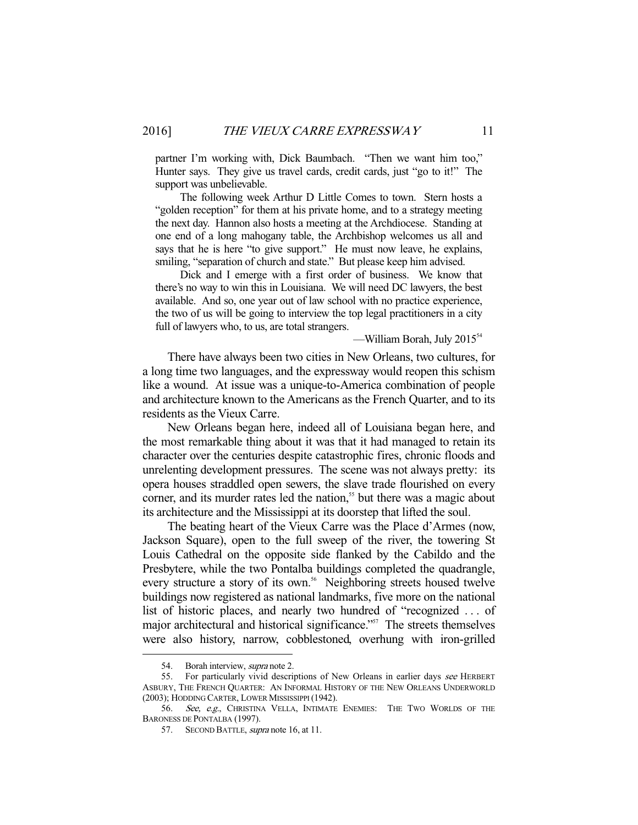partner I'm working with, Dick Baumbach. "Then we want him too," Hunter says. They give us travel cards, credit cards, just "go to it!" The support was unbelievable.

 The following week Arthur D Little Comes to town. Stern hosts a "golden reception" for them at his private home, and to a strategy meeting the next day. Hannon also hosts a meeting at the Archdiocese. Standing at one end of a long mahogany table, the Archbishop welcomes us all and says that he is here "to give support." He must now leave, he explains, smiling, "separation of church and state." But please keep him advised.

 Dick and I emerge with a first order of business. We know that there's no way to win this in Louisiana. We will need DC lawyers, the best available. And so, one year out of law school with no practice experience, the two of us will be going to interview the top legal practitioners in a city full of lawyers who, to us, are total strangers.

 $-$ William Borah, July 2015 $^{54}$ 

 There have always been two cities in New Orleans, two cultures, for a long time two languages, and the expressway would reopen this schism like a wound. At issue was a unique-to-America combination of people and architecture known to the Americans as the French Quarter, and to its residents as the Vieux Carre.

 New Orleans began here, indeed all of Louisiana began here, and the most remarkable thing about it was that it had managed to retain its character over the centuries despite catastrophic fires, chronic floods and unrelenting development pressures. The scene was not always pretty: its opera houses straddled open sewers, the slave trade flourished on every corner, and its murder rates led the nation,<sup>55</sup> but there was a magic about its architecture and the Mississippi at its doorstep that lifted the soul.

 The beating heart of the Vieux Carre was the Place d'Armes (now, Jackson Square), open to the full sweep of the river, the towering St Louis Cathedral on the opposite side flanked by the Cabildo and the Presbytere, while the two Pontalba buildings completed the quadrangle, every structure a story of its own.<sup>56</sup> Neighboring streets housed twelve buildings now registered as national landmarks, five more on the national list of historic places, and nearly two hundred of "recognized . . . of major architectural and historical significance."<sup>57</sup> The streets themselves were also history, narrow, cobblestoned, overhung with iron-grilled

<sup>54.</sup> Borah interview, *supra* note 2.

<sup>55.</sup> For particularly vivid descriptions of New Orleans in earlier days see HERBERT ASBURY, THE FRENCH QUARTER: AN INFORMAL HISTORY OF THE NEW ORLEANS UNDERWORLD (2003); HODDING CARTER, LOWER MISSISSIPPI (1942).

<sup>56.</sup> See, e.g., CHRISTINA VELLA, INTIMATE ENEMIES: THE TWO WORLDS OF THE BARONESS DE PONTALBA (1997).

<sup>57.</sup> SECOND BATTLE, *supra* note 16, at 11.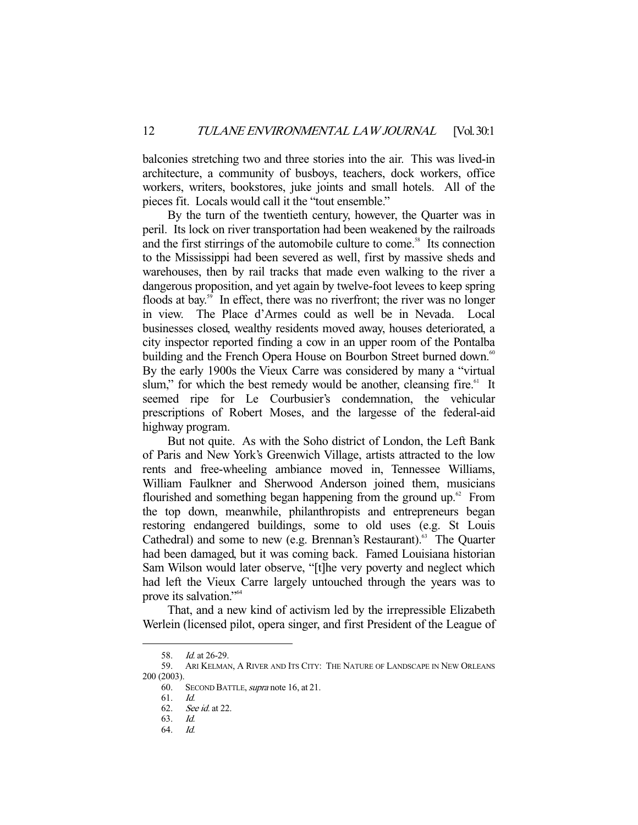balconies stretching two and three stories into the air. This was lived-in architecture, a community of busboys, teachers, dock workers, office workers, writers, bookstores, juke joints and small hotels. All of the pieces fit. Locals would call it the "tout ensemble."

 By the turn of the twentieth century, however, the Quarter was in peril. Its lock on river transportation had been weakened by the railroads and the first stirrings of the automobile culture to come.<sup>58</sup> Its connection to the Mississippi had been severed as well, first by massive sheds and warehouses, then by rail tracks that made even walking to the river a dangerous proposition, and yet again by twelve-foot levees to keep spring floods at bay.<sup>59</sup> In effect, there was no riverfront; the river was no longer in view. The Place d'Armes could as well be in Nevada. Local businesses closed, wealthy residents moved away, houses deteriorated, a city inspector reported finding a cow in an upper room of the Pontalba building and the French Opera House on Bourbon Street burned down.<sup>60</sup> By the early 1900s the Vieux Carre was considered by many a "virtual slum," for which the best remedy would be another, cleansing fire. $61$  It seemed ripe for Le Courbusier's condemnation, the vehicular prescriptions of Robert Moses, and the largesse of the federal-aid highway program.

 But not quite. As with the Soho district of London, the Left Bank of Paris and New York's Greenwich Village, artists attracted to the low rents and free-wheeling ambiance moved in, Tennessee Williams, William Faulkner and Sherwood Anderson joined them, musicians flourished and something began happening from the ground up. $62$  From the top down, meanwhile, philanthropists and entrepreneurs began restoring endangered buildings, some to old uses (e.g. St Louis Cathedral) and some to new (e.g. Brennan's Restaurant).<sup>63</sup> The Quarter had been damaged, but it was coming back. Famed Louisiana historian Sam Wilson would later observe, "[t]he very poverty and neglect which had left the Vieux Carre largely untouched through the years was to prove its salvation."64

 That, and a new kind of activism led by the irrepressible Elizabeth Werlein (licensed pilot, opera singer, and first President of the League of

 <sup>58.</sup> Id. at 26-29.

 <sup>59.</sup> ARI KELMAN, A RIVER AND ITS CITY: THE NATURE OF LANDSCAPE IN NEW ORLEANS 200 (2003).

<sup>60.</sup> SECOND BATTLE, supra note 16, at 21.

 <sup>61.</sup> Id.

 <sup>62.</sup> See id. at 22.

 <sup>63.</sup> Id.

 <sup>64.</sup> Id.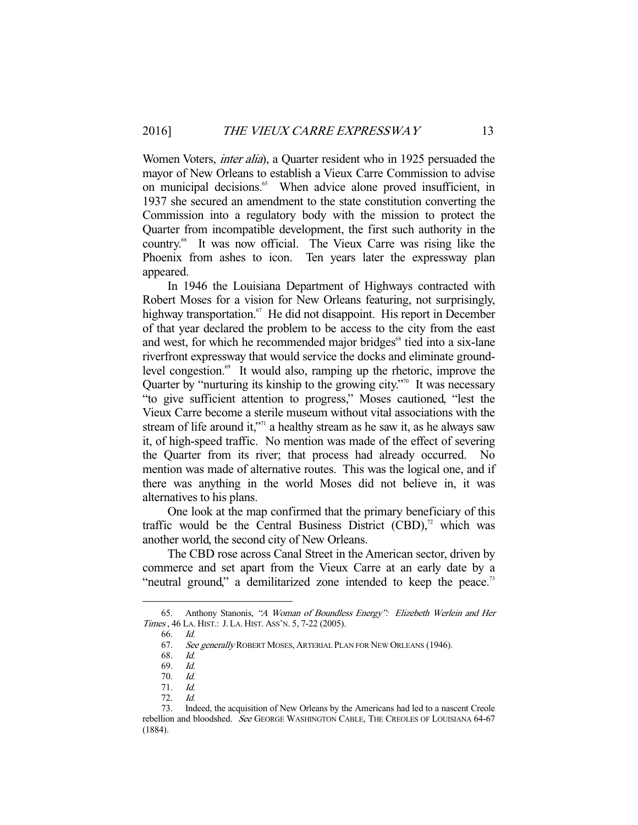Women Voters, inter alia), a Quarter resident who in 1925 persuaded the mayor of New Orleans to establish a Vieux Carre Commission to advise on municipal decisions.<sup>65</sup> When advice alone proved insufficient, in 1937 she secured an amendment to the state constitution converting the Commission into a regulatory body with the mission to protect the Quarter from incompatible development, the first such authority in the country.66 It was now official. The Vieux Carre was rising like the Phoenix from ashes to icon. Ten years later the expressway plan appeared.

 In 1946 the Louisiana Department of Highways contracted with Robert Moses for a vision for New Orleans featuring, not surprisingly, highway transportation.<sup>67</sup> He did not disappoint. His report in December of that year declared the problem to be access to the city from the east and west, for which he recommended major bridges<sup>68</sup> tied into a six-lane riverfront expressway that would service the docks and eliminate groundlevel congestion.<sup>69</sup> It would also, ramping up the rhetoric, improve the Quarter by "nurturing its kinship to the growing city."<sup> $0$ </sup> It was necessary "to give sufficient attention to progress," Moses cautioned, "lest the Vieux Carre become a sterile museum without vital associations with the stream of life around it,"<sup> $1$ </sup> a healthy stream as he saw it, as he always saw it, of high-speed traffic. No mention was made of the effect of severing the Quarter from its river; that process had already occurred. No mention was made of alternative routes. This was the logical one, and if there was anything in the world Moses did not believe in, it was alternatives to his plans.

 One look at the map confirmed that the primary beneficiary of this traffic would be the Central Business District  $(CBD)^{72}$  which was another world, the second city of New Orleans.

 The CBD rose across Canal Street in the American sector, driven by commerce and set apart from the Vieux Carre at an early date by a "neutral ground," a demilitarized zone intended to keep the peace.<sup>73</sup>

 <sup>65.</sup> Anthony Stanonis, "A Woman of Boundless Energy": Elizebeth Werlein and Her Times , 46 LA. HIST.: J.LA. HIST. ASS'N. 5, 7-22 (2005).

 <sup>66.</sup> Id.

<sup>67.</sup> See generally ROBERT MOSES, ARTERIAL PLAN FOR NEW ORLEANS (1946).

 <sup>68.</sup> Id.

 <sup>69.</sup> Id.

 <sup>70.</sup> Id.

 <sup>71.</sup> Id.

 <sup>72.</sup> Id.

 <sup>73.</sup> Indeed, the acquisition of New Orleans by the Americans had led to a nascent Creole rebellion and bloodshed. See GEORGE WASHINGTON CABLE, THE CREOLES OF LOUISIANA 64-67 (1884).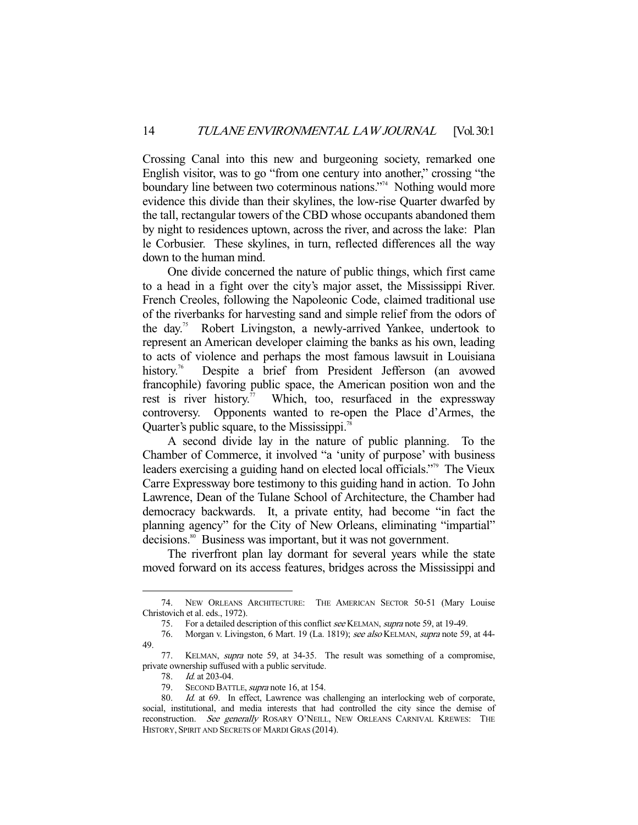Crossing Canal into this new and burgeoning society, remarked one English visitor, was to go "from one century into another," crossing "the boundary line between two coterminous nations."<sup>4</sup> Nothing would more evidence this divide than their skylines, the low-rise Quarter dwarfed by the tall, rectangular towers of the CBD whose occupants abandoned them by night to residences uptown, across the river, and across the lake: Plan le Corbusier. These skylines, in turn, reflected differences all the way down to the human mind.

 One divide concerned the nature of public things, which first came to a head in a fight over the city's major asset, the Mississippi River. French Creoles, following the Napoleonic Code, claimed traditional use of the riverbanks for harvesting sand and simple relief from the odors of the day.75 Robert Livingston, a newly-arrived Yankee, undertook to represent an American developer claiming the banks as his own, leading to acts of violence and perhaps the most famous lawsuit in Louisiana history.<sup>76</sup> Despite a brief from President Jefferson (an avowed francophile) favoring public space, the American position won and the rest is river history.<sup>77</sup> Which, too, resurfaced in the expressway controversy. Opponents wanted to re-open the Place d'Armes, the Quarter's public square, to the Mississippi.<sup>78</sup>

 A second divide lay in the nature of public planning. To the Chamber of Commerce, it involved "a 'unity of purpose' with business leaders exercising a guiding hand on elected local officials."<sup>79</sup> The Vieux Carre Expressway bore testimony to this guiding hand in action. To John Lawrence, Dean of the Tulane School of Architecture, the Chamber had democracy backwards. It, a private entity, had become "in fact the planning agency" for the City of New Orleans, eliminating "impartial" decisions.<sup>80</sup> Business was important, but it was not government.

 The riverfront plan lay dormant for several years while the state moved forward on its access features, bridges across the Mississippi and

 <sup>74.</sup> NEW ORLEANS ARCHITECTURE: THE AMERICAN SECTOR 50-51 (Mary Louise Christovich et al. eds., 1972).

<sup>75.</sup> For a detailed description of this conflict see KELMAN, supra note 59, at 19-49.

<sup>76.</sup> Morgan v. Livingston, 6 Mart. 19 (La. 1819); see also KELMAN, supra note 59, at 44-49.

 <sup>77.</sup> KELMAN, supra note 59, at 34-35. The result was something of a compromise, private ownership suffused with a public servitude.

 <sup>78.</sup> Id. at 203-04.

<sup>79.</sup> SECOND BATTLE, *supra* note 16, at 154.

<sup>80.</sup> Id. at 69. In effect, Lawrence was challenging an interlocking web of corporate, social, institutional, and media interests that had controlled the city since the demise of reconstruction. See generally ROSARY O'NEILL, NEW ORLEANS CARNIVAL KREWES: THE HISTORY, SPIRIT AND SECRETS OF MARDI GRAS (2014).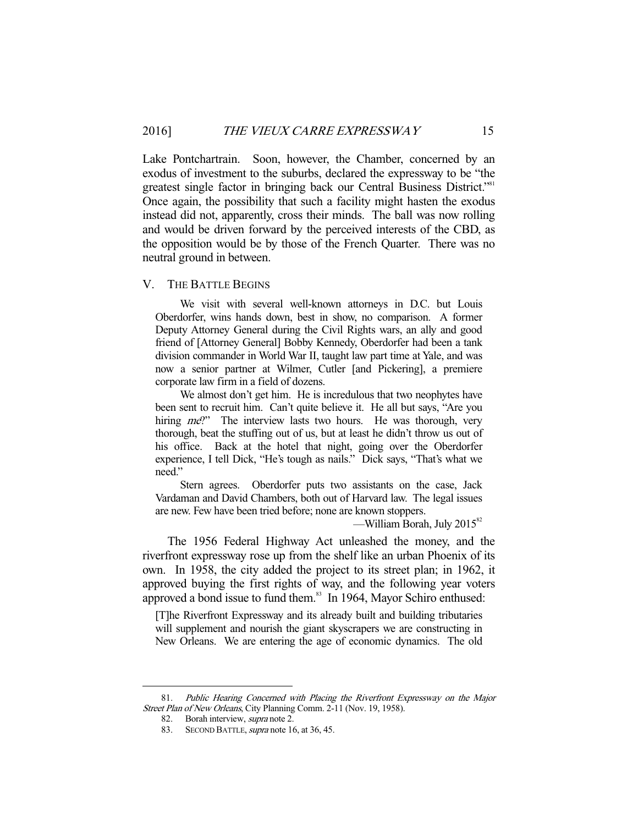Lake Pontchartrain. Soon, however, the Chamber, concerned by an exodus of investment to the suburbs, declared the expressway to be "the greatest single factor in bringing back our Central Business District."<sup>81</sup> Once again, the possibility that such a facility might hasten the exodus instead did not, apparently, cross their minds. The ball was now rolling and would be driven forward by the perceived interests of the CBD, as the opposition would be by those of the French Quarter. There was no neutral ground in between.

#### V. THE BATTLE BEGINS

 We visit with several well-known attorneys in D.C. but Louis Oberdorfer, wins hands down, best in show, no comparison. A former Deputy Attorney General during the Civil Rights wars, an ally and good friend of [Attorney General] Bobby Kennedy, Oberdorfer had been a tank division commander in World War II, taught law part time at Yale, and was now a senior partner at Wilmer, Cutler [and Pickering], a premiere corporate law firm in a field of dozens.

 We almost don't get him. He is incredulous that two neophytes have been sent to recruit him. Can't quite believe it. He all but says, "Are you hiring *me*?" The interview lasts two hours. He was thorough, very thorough, beat the stuffing out of us, but at least he didn't throw us out of his office. Back at the hotel that night, going over the Oberdorfer experience, I tell Dick, "He's tough as nails." Dick says, "That's what we need."

 Stern agrees. Oberdorfer puts two assistants on the case, Jack Vardaman and David Chambers, both out of Harvard law. The legal issues are new. Few have been tried before; none are known stoppers.

—William Borah, July  $2015^{82}$ 

 The 1956 Federal Highway Act unleashed the money, and the riverfront expressway rose up from the shelf like an urban Phoenix of its own. In 1958, the city added the project to its street plan; in 1962, it approved buying the first rights of way, and the following year voters approved a bond issue to fund them. $83$  In 1964, Mayor Schiro enthused:

[T]he Riverfront Expressway and its already built and building tributaries will supplement and nourish the giant skyscrapers we are constructing in New Orleans. We are entering the age of economic dynamics. The old

 <sup>81.</sup> Public Hearing Concerned with Placing the Riverfront Expressway on the Major Street Plan of New Orleans, City Planning Comm. 2-11 (Nov. 19, 1958).

<sup>82.</sup> Borah interview, *supra* note 2.

<sup>83.</sup> SECOND BATTLE, supra note 16, at 36, 45.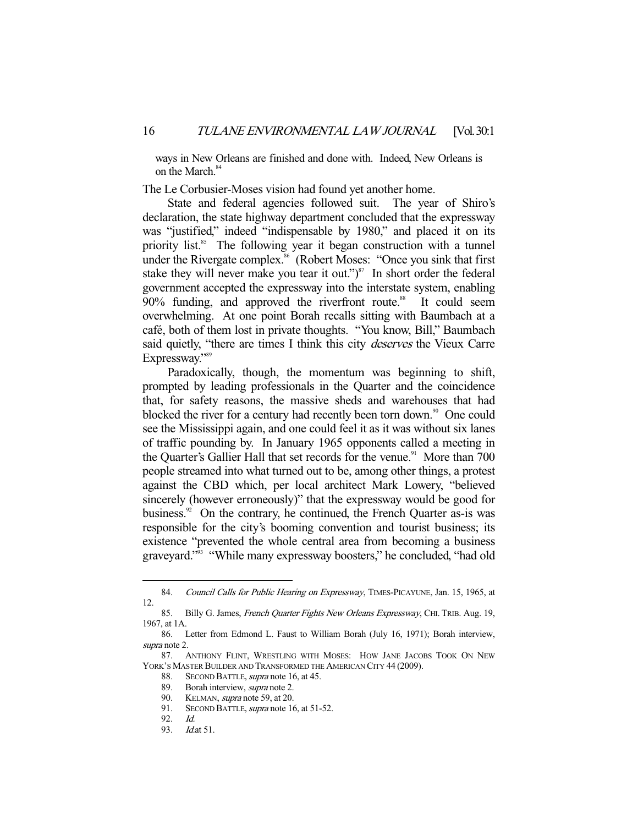ways in New Orleans are finished and done with. Indeed, New Orleans is on the March.<sup>84</sup>

The Le Corbusier-Moses vision had found yet another home.

 State and federal agencies followed suit. The year of Shiro's declaration, the state highway department concluded that the expressway was "justified," indeed "indispensable by 1980," and placed it on its priority list.<sup>85</sup> The following year it began construction with a tunnel under the Rivergate complex.<sup>86</sup> (Robert Moses: "Once you sink that first stake they will never make you tear it out.") $\frac{87}{10}$  In short order the federal government accepted the expressway into the interstate system, enabling  $90\%$  funding, and approved the riverfront route.<sup>88</sup> It could seem overwhelming. At one point Borah recalls sitting with Baumbach at a café, both of them lost in private thoughts. "You know, Bill," Baumbach said quietly, "there are times I think this city *deserves* the Vieux Carre Expressway."89

 Paradoxically, though, the momentum was beginning to shift, prompted by leading professionals in the Quarter and the coincidence that, for safety reasons, the massive sheds and warehouses that had blocked the river for a century had recently been torn down.<sup>90</sup> One could see the Mississippi again, and one could feel it as it was without six lanes of traffic pounding by. In January 1965 opponents called a meeting in the Quarter's Gallier Hall that set records for the venue.<sup>91</sup> More than 700 people streamed into what turned out to be, among other things, a protest against the CBD which, per local architect Mark Lowery, "believed sincerely (however erroneously)" that the expressway would be good for business.<sup>92</sup> On the contrary, he continued, the French Quarter as-is was responsible for the city's booming convention and tourist business; its existence "prevented the whole central area from becoming a business graveyard."93 "While many expressway boosters," he concluded, "had old

<sup>84.</sup> Council Calls for Public Hearing on Expressway, TIMES-PICAYUNE, Jan. 15, 1965, at 12.

<sup>85.</sup> Billy G. James, French Quarter Fights New Orleans Expressway, CHI. TRIB. Aug. 19, 1967, at 1A.

 <sup>86.</sup> Letter from Edmond L. Faust to William Borah (July 16, 1971); Borah interview, supra note 2.

 <sup>87.</sup> ANTHONY FLINT, WRESTLING WITH MOSES: HOW JANE JACOBS TOOK ON NEW YORK'S MASTER BUILDER AND TRANSFORMED THE AMERICAN CITY 44 (2009).

<sup>88.</sup> SECOND BATTLE, *supra* note 16, at 45.

<sup>89.</sup> Borah interview, *supra* note 2.

<sup>90.</sup> KELMAN, *supra* note 59, at 20.

<sup>91.</sup> SECOND BATTLE, supra note 16, at 51-52.

 <sup>92.</sup> Id.

<sup>93.</sup> *Id.at* 51.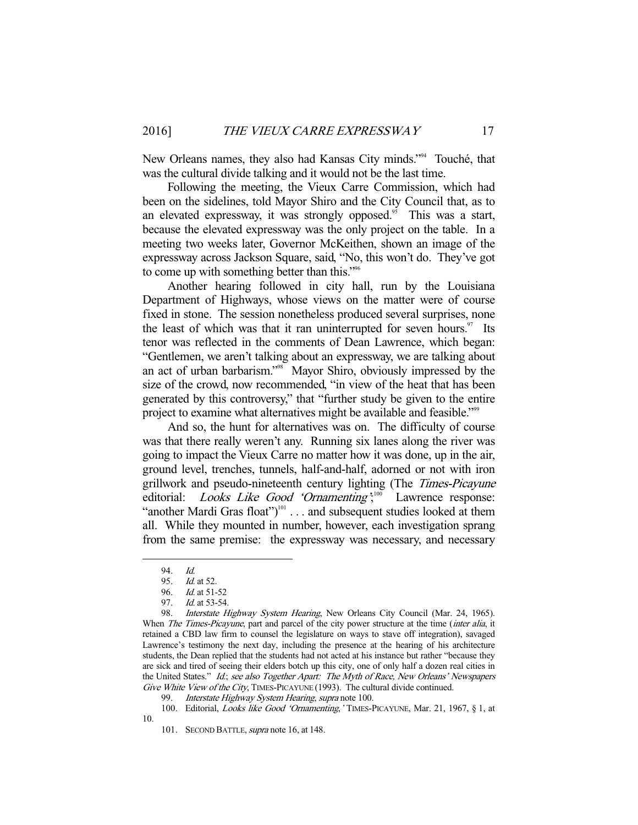New Orleans names, they also had Kansas City minds."<sup>94</sup> Touché, that was the cultural divide talking and it would not be the last time.

 Following the meeting, the Vieux Carre Commission, which had been on the sidelines, told Mayor Shiro and the City Council that, as to an elevated expressway, it was strongly opposed.<sup>95</sup> This was a start, because the elevated expressway was the only project on the table. In a meeting two weeks later, Governor McKeithen, shown an image of the expressway across Jackson Square, said, "No, this won't do. They've got to come up with something better than this."96

 Another hearing followed in city hall, run by the Louisiana Department of Highways, whose views on the matter were of course fixed in stone. The session nonetheless produced several surprises, none the least of which was that it ran uninterrupted for seven hours. $\frac{97}{15}$  Its tenor was reflected in the comments of Dean Lawrence, which began: "Gentlemen, we aren't talking about an expressway, we are talking about an act of urban barbarism."98 Mayor Shiro, obviously impressed by the size of the crowd, now recommended, "in view of the heat that has been generated by this controversy," that "further study be given to the entire project to examine what alternatives might be available and feasible."<sup>99</sup>

 And so, the hunt for alternatives was on. The difficulty of course was that there really weren't any. Running six lanes along the river was going to impact the Vieux Carre no matter how it was done, up in the air, ground level, trenches, tunnels, half-and-half, adorned or not with iron grillwork and pseudo-nineteenth century lighting (The Times-Picayune editorial: *Looks Like Good 'Ornamenting*';<sup>100</sup> Lawrence response: "another Mardi Gras float") $101$ ... and subsequent studies looked at them all. While they mounted in number, however, each investigation sprang from the same premise: the expressway was necessary, and necessary

<sup>94.</sup> *Id.*<br>95. *Id.* 

<sup>95.</sup> *Id.* at 52.<br>96. *Id.* at 51-

*Id.* at 51-52

<sup>97.</sup> *Id.* at 53-54.

<sup>98.</sup> Interstate Highway System Hearing, New Orleans City Council (Mar. 24, 1965). When *The Times-Picayune*, part and parcel of the city power structure at the time *(inter alia, it*) retained a CBD law firm to counsel the legislature on ways to stave off integration), savaged Lawrence's testimony the next day, including the presence at the hearing of his architecture students, the Dean replied that the students had not acted at his instance but rather "because they are sick and tired of seeing their elders botch up this city, one of only half a dozen real cities in the United States." Id.; see also Together Apart: The Myth of Race, New Orleans' Newspapers Give White View of the City, TIMES-PICAYUNE (1993). The cultural divide continued.

Interstate Highway System Hearing, supra note 100.

 <sup>100.</sup> Editorial, Looks like Good 'Ornamenting,' TIMES-PICAYUNE, Mar. 21, 1967, § 1, at 10.

<sup>101.</sup> SECOND BATTLE, *supra* note 16, at 148.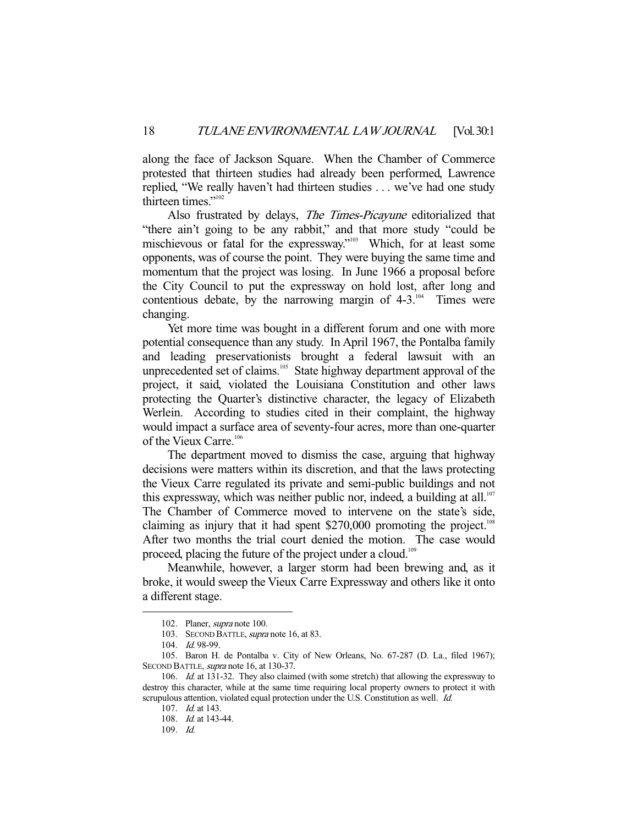along the face of Jackson Square. When the Chamber of Commerce protested that thirteen studies had already been performed, Lawrence replied, "We really haven't had thirteen studies . . . we've had one study thirteen times."<sup>102</sup>

Also frustrated by delays, The Times-Picayune editorialized that "there ain't going to be any rabbit," and that more study "could be mischievous or fatal for the expressway."<sup>103</sup> Which, for at least some opponents, was of course the point. They were buying the same time and momentum that the project was losing. In June 1966 a proposal before the City Council to put the expressway on hold lost, after long and contentious debate, by the narrowing margin of  $4-3$ .<sup>104</sup> Times were changing.

 Yet more time was bought in a different forum and one with more potential consequence than any study. In April 1967, the Pontalba family and leading preservationists brought a federal lawsuit with an unprecedented set of claims.<sup>105</sup> State highway department approval of the project, it said, violated the Louisiana Constitution and other laws protecting the Quarter's distinctive character, the legacy of Elizabeth Werlein. According to studies cited in their complaint, the highway would impact a surface area of seventy-four acres, more than one-quarter of the Vieux Carre.<sup>106</sup>

 The department moved to dismiss the case, arguing that highway decisions were matters within its discretion, and that the laws protecting the Vieux Carre regulated its private and semi-public buildings and not this expressway, which was neither public nor, indeed, a building at all.<sup>107</sup> The Chamber of Commerce moved to intervene on the state's side, claiming as injury that it had spent  $$270,000$  promoting the project.<sup>108</sup> After two months the trial court denied the motion. The case would proceed, placing the future of the project under a cloud.<sup>109</sup>

 Meanwhile, however, a larger storm had been brewing and, as it broke, it would sweep the Vieux Carre Expressway and others like it onto a different stage.

 <sup>102.</sup> Planer, supra note 100.

<sup>103.</sup> SECOND BATTLE, supra note 16, at 83.

 <sup>104.</sup> Id. 98-99.

 <sup>105.</sup> Baron H. de Pontalba v. City of New Orleans, No. 67-287 (D. La., filed 1967); SECOND BATTLE, *supra* note 16, at 130-37.

 <sup>106.</sup> Id. at 131-32. They also claimed (with some stretch) that allowing the expressway to destroy this character, while at the same time requiring local property owners to protect it with scrupulous attention, violated equal protection under the U.S. Constitution as well. Id.

<sup>107.</sup> *Id.* at 143.

 <sup>108.</sup> Id. at 143-44.

 <sup>109.</sup> Id.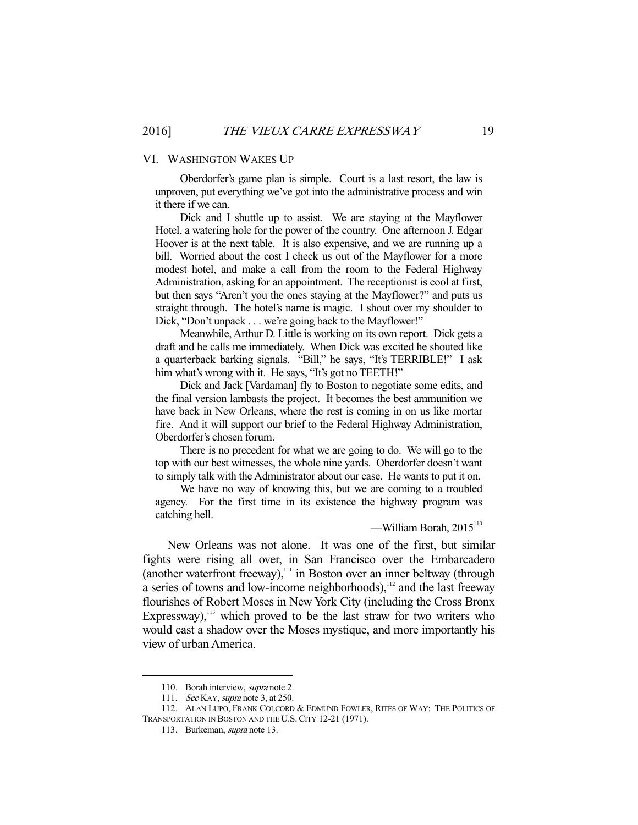#### VI. WASHINGTON WAKES UP

 Oberdorfer's game plan is simple. Court is a last resort, the law is unproven, put everything we've got into the administrative process and win it there if we can.

 Dick and I shuttle up to assist. We are staying at the Mayflower Hotel, a watering hole for the power of the country. One afternoon J. Edgar Hoover is at the next table. It is also expensive, and we are running up a bill. Worried about the cost I check us out of the Mayflower for a more modest hotel, and make a call from the room to the Federal Highway Administration, asking for an appointment. The receptionist is cool at first, but then says "Aren't you the ones staying at the Mayflower?" and puts us straight through. The hotel's name is magic. I shout over my shoulder to Dick, "Don't unpack . . . we're going back to the Mayflower!"

 Meanwhile, Arthur D. Little is working on its own report. Dick gets a draft and he calls me immediately. When Dick was excited he shouted like a quarterback barking signals. "Bill," he says, "It's TERRIBLE!" I ask him what's wrong with it. He says, "It's got no TEETH!"

 Dick and Jack [Vardaman] fly to Boston to negotiate some edits, and the final version lambasts the project. It becomes the best ammunition we have back in New Orleans, where the rest is coming in on us like mortar fire. And it will support our brief to the Federal Highway Administration, Oberdorfer's chosen forum.

 There is no precedent for what we are going to do. We will go to the top with our best witnesses, the whole nine yards. Oberdorfer doesn't want to simply talk with the Administrator about our case. He wants to put it on.

 We have no way of knowing this, but we are coming to a troubled agency. For the first time in its existence the highway program was catching hell.

 $-$ William Borah, 2015<sup>110</sup>

 New Orleans was not alone. It was one of the first, but similar fights were rising all over, in San Francisco over the Embarcadero (another waterfront freeway),<sup>111</sup> in Boston over an inner beltway (through a series of towns and low-income neighborhoods), $\frac{112}{12}$  and the last freeway flourishes of Robert Moses in New York City (including the Cross Bronx Expressway), $113$  which proved to be the last straw for two writers who would cast a shadow over the Moses mystique, and more importantly his view of urban America.

<sup>110.</sup> Borah interview, supra note 2.

<sup>111.</sup> See KAY, *supra* note 3, at 250.

 <sup>112.</sup> ALAN LUPO, FRANK COLCORD & EDMUND FOWLER, RITES OF WAY: THE POLITICS OF TRANSPORTATION IN BOSTON AND THE U.S.CITY 12-21 (1971).

 <sup>113.</sup> Burkeman, supra note 13.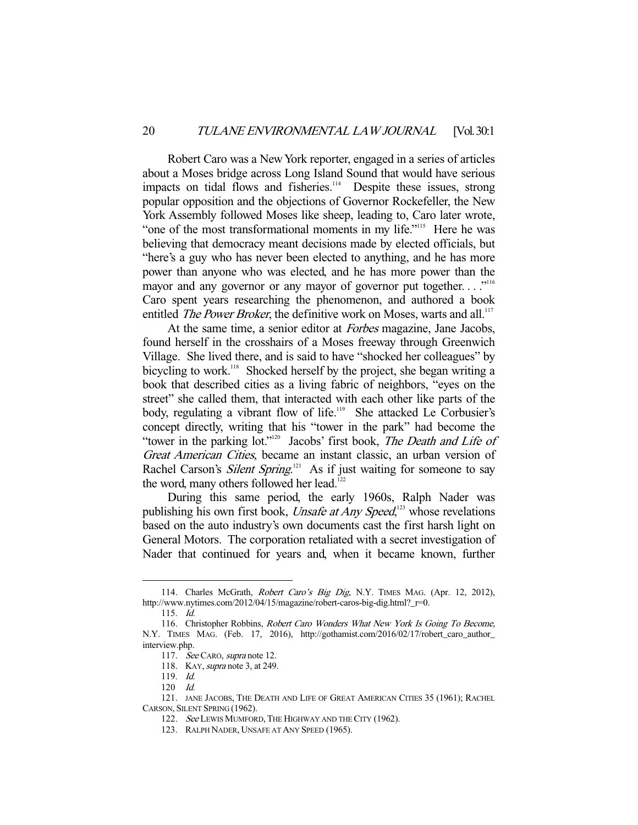Robert Caro was a New York reporter, engaged in a series of articles about a Moses bridge across Long Island Sound that would have serious impacts on tidal flows and fisheries.<sup>114</sup> Despite these issues, strong popular opposition and the objections of Governor Rockefeller, the New York Assembly followed Moses like sheep, leading to, Caro later wrote, "one of the most transformational moments in my life."<sup>115</sup> Here he was believing that democracy meant decisions made by elected officials, but "here's a guy who has never been elected to anything, and he has more power than anyone who was elected, and he has more power than the mayor and any governor or any mayor of governor put together...."<sup>116</sup> Caro spent years researching the phenomenon, and authored a book entitled *The Power Broker*, the definitive work on Moses, warts and all.<sup>117</sup>

At the same time, a senior editor at *Forbes* magazine, Jane Jacobs, found herself in the crosshairs of a Moses freeway through Greenwich Village. She lived there, and is said to have "shocked her colleagues" by bicycling to work.<sup>118</sup> Shocked herself by the project, she began writing a book that described cities as a living fabric of neighbors, "eyes on the street" she called them, that interacted with each other like parts of the body, regulating a vibrant flow of life.<sup>119</sup> She attacked Le Corbusier's concept directly, writing that his "tower in the park" had become the "tower in the parking lot."<sup>120</sup> Jacobs' first book, *The Death and Life of* Great American Cities, became an instant classic, an urban version of Rachel Carson's *Silent Spring*.<sup>121</sup> As if just waiting for someone to say the word, many others followed her lead.<sup>12</sup>

 During this same period, the early 1960s, Ralph Nader was publishing his own first book, *Unsafe at Any Speed*,<sup>123</sup> whose revelations based on the auto industry's own documents cast the first harsh light on General Motors. The corporation retaliated with a secret investigation of Nader that continued for years and, when it became known, further

<sup>114.</sup> Charles McGrath, Robert Caro's Big Dig, N.Y. TIMES MAG. (Apr. 12, 2012), http://www.nytimes.com/2012/04/15/magazine/robert-caros-big-dig.html?\_r=0.

 <sup>115.</sup> Id.

<sup>116.</sup> Christopher Robbins, Robert Caro Wonders What New York Is Going To Become, N.Y. TIMES MAG. (Feb. 17, 2016), http://gothamist.com/2016/02/17/robert\_caro\_author\_ interview.php.

<sup>117.</sup> See CARO, supra note 12.

<sup>118.</sup> KAY, *supra* note 3, at 249.

 <sup>119.</sup> Id.

 <sup>120</sup> Id.

 <sup>121.</sup> JANE JACOBS, THE DEATH AND LIFE OF GREAT AMERICAN CITIES 35 (1961); RACHEL CARSON, SILENT SPRING (1962).

<sup>122.</sup> See LEWIS MUMFORD, THE HIGHWAY AND THE CITY (1962).

 <sup>123.</sup> RALPH NADER, UNSAFE AT ANY SPEED (1965).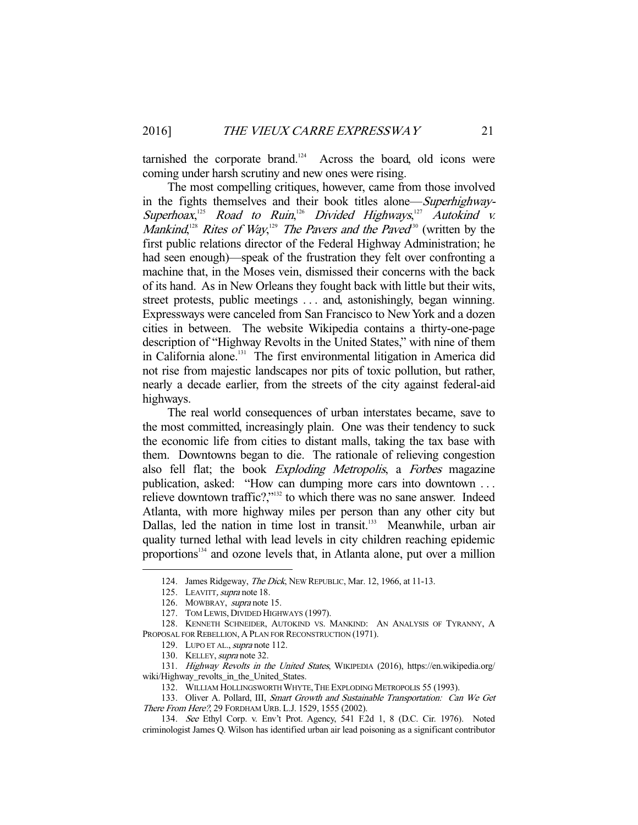tarnished the corporate brand.<sup>124</sup> Across the board, old icons were coming under harsh scrutiny and new ones were rising.

 The most compelling critiques, however, came from those involved in the fights themselves and their book titles alone—Superhighway-Superhoax,<sup>125</sup> Road to Ruin,<sup>126</sup> Divided Highways,<sup>127</sup> Autokind v. Mankind,<sup>128</sup> Rites of Way,<sup>129</sup> The Pavers and the Paved<sup>30</sup> (written by the first public relations director of the Federal Highway Administration; he had seen enough)—speak of the frustration they felt over confronting a machine that, in the Moses vein, dismissed their concerns with the back of its hand. As in New Orleans they fought back with little but their wits, street protests, public meetings . . . and, astonishingly, began winning. Expressways were canceled from San Francisco to New York and a dozen cities in between. The website Wikipedia contains a thirty-one-page description of "Highway Revolts in the United States," with nine of them in California alone.<sup>131</sup> The first environmental litigation in America did not rise from majestic landscapes nor pits of toxic pollution, but rather, nearly a decade earlier, from the streets of the city against federal-aid highways.

 The real world consequences of urban interstates became, save to the most committed, increasingly plain. One was their tendency to suck the economic life from cities to distant malls, taking the tax base with them. Downtowns began to die. The rationale of relieving congestion also fell flat; the book Exploding Metropolis, a Forbes magazine publication, asked: "How can dumping more cars into downtown . . . relieve downtown traffic?,"132 to which there was no sane answer. Indeed Atlanta, with more highway miles per person than any other city but Dallas, led the nation in time lost in transit.<sup>133</sup> Meanwhile, urban air quality turned lethal with lead levels in city children reaching epidemic proportions<sup>134</sup> and ozone levels that, in Atlanta alone, put over a million

<sup>124.</sup> James Ridgeway, The Dick, NEW REPUBLIC, Mar. 12, 1966, at 11-13.

<sup>125.</sup> LEAVITT, supra note 18.

 <sup>126.</sup> MOWBRAY, supra note 15.

 <sup>127.</sup> TOM LEWIS, DIVIDED HIGHWAYS (1997).

 <sup>128.</sup> KENNETH SCHNEIDER, AUTOKIND VS. MANKIND: AN ANALYSIS OF TYRANNY, A PROPOSAL FOR REBELLION, A PLAN FOR RECONSTRUCTION (1971).

<sup>129.</sup> LUPO ET AL., supra note 112.

<sup>130.</sup> KELLEY, supra note 32.

 <sup>131.</sup> Highway Revolts in the United States, WIKIPEDIA (2016), https://en.wikipedia.org/ wiki/Highway\_revolts\_in\_the\_United\_States.

<sup>132.</sup> WILLIAM HOLLINGSWORTH WHYTE, THE EXPLODING METROPOLIS 55 (1993).

<sup>133.</sup> Oliver A. Pollard, III, Smart Growth and Sustainable Transportation: Can We Get There From Here?, 29 FORDHAM URB. L.J. 1529, 1555 (2002).

 <sup>134.</sup> See Ethyl Corp. v. Env't Prot. Agency, 541 F.2d 1, 8 (D.C. Cir. 1976). Noted criminologist James Q. Wilson has identified urban air lead poisoning as a significant contributor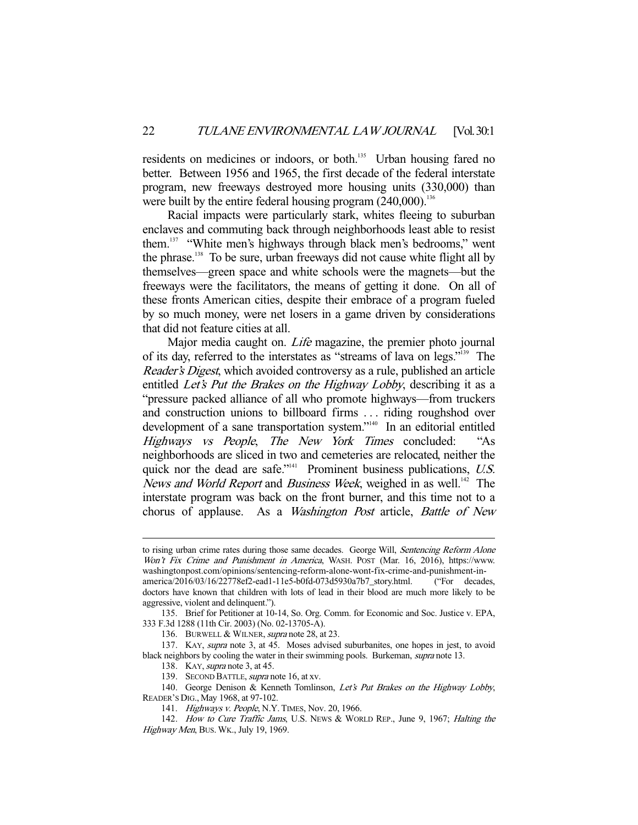residents on medicines or indoors, or both.<sup>135</sup> Urban housing fared no better. Between 1956 and 1965, the first decade of the federal interstate program, new freeways destroyed more housing units (330,000) than were built by the entire federal housing program  $(240,000)$ .<sup>136</sup>

 Racial impacts were particularly stark, whites fleeing to suburban enclaves and commuting back through neighborhoods least able to resist them.137 "White men's highways through black men's bedrooms," went the phrase.<sup>138</sup> To be sure, urban freeways did not cause white flight all by themselves—green space and white schools were the magnets—but the freeways were the facilitators, the means of getting it done. On all of these fronts American cities, despite their embrace of a program fueled by so much money, were net losers in a game driven by considerations that did not feature cities at all.

Major media caught on. *Life* magazine, the premier photo journal of its day, referred to the interstates as "streams of lava on legs."139 The Reader's Digest, which avoided controversy as a rule, published an article entitled Let's Put the Brakes on the Highway Lobby, describing it as a "pressure packed alliance of all who promote highways—from truckers and construction unions to billboard firms . . . riding roughshod over development of a sane transportation system."<sup>140</sup> In an editorial entitled Highways vs People, The New York Times concluded: "As neighborhoods are sliced in two and cemeteries are relocated, neither the quick nor the dead are safe." $41$  Prominent business publications, U.S. News and World Report and Business Week, weighed in as well.<sup>142</sup> The interstate program was back on the front burner, and this time not to a chorus of applause. As a Washington Post article, Battle of New

to rising urban crime rates during those same decades. George Will, Sentencing Reform Alone Won't Fix Crime and Punishment in America, WASH. POST (Mar. 16, 2016), https://www. washingtonpost.com/opinions/sentencing-reform-alone-wont-fix-crime-and-punishment-in-

america/2016/03/16/22778ef2-ead1-11e5-b0fd-073d5930a7b7\_story.html. ("For decades, doctors have known that children with lots of lead in their blood are much more likely to be aggressive, violent and delinquent.").

 <sup>135.</sup> Brief for Petitioner at 10-14, So. Org. Comm. for Economic and Soc. Justice v. EPA, 333 F.3d 1288 (11th Cir. 2003) (No. 02-13705-A).

<sup>136.</sup> BURWELL & WILNER, supra note 28, at 23.

 <sup>137.</sup> KAY, supra note 3, at 45. Moses advised suburbanites, one hopes in jest, to avoid black neighbors by cooling the water in their swimming pools. Burkeman, *supra* note 13.

<sup>138.</sup> KAY, *supra* note 3, at 45.

<sup>139.</sup> SECOND BATTLE, *supra* note 16, at xv.

<sup>140.</sup> George Denison & Kenneth Tomlinson, Let's Put Brakes on the Highway Lobby, READER'S DIG., May 1968, at 97-102.

<sup>141.</sup> Highways v. People, N.Y. TIMES, Nov. 20, 1966.

<sup>142.</sup> How to Cure Traffic Jams, U.S. News & WORLD REP., June 9, 1967; Halting the Highway Men, BUS. WK., July 19, 1969.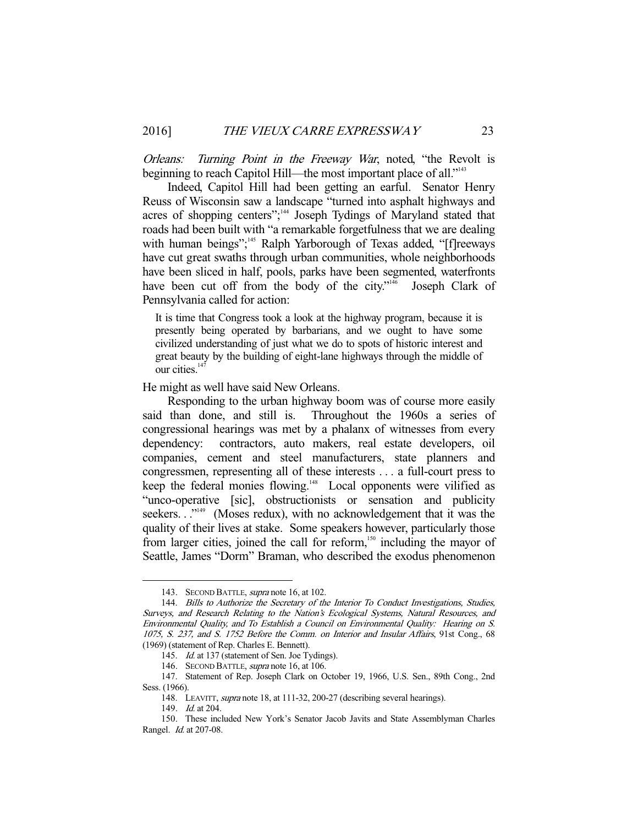Orleans: Turning Point in the Freeway War, noted, "the Revolt is beginning to reach Capitol Hill—the most important place of all."<sup>143</sup>

 Indeed, Capitol Hill had been getting an earful. Senator Henry Reuss of Wisconsin saw a landscape "turned into asphalt highways and acres of shopping centers";<sup>144</sup> Joseph Tydings of Maryland stated that roads had been built with "a remarkable forgetfulness that we are dealing with human beings";<sup>145</sup> Ralph Yarborough of Texas added, "[f]reeways have cut great swaths through urban communities, whole neighborhoods have been sliced in half, pools, parks have been segmented, waterfronts have been cut off from the body of the city."<sup>146</sup> Joseph Clark of Pennsylvania called for action:

It is time that Congress took a look at the highway program, because it is presently being operated by barbarians, and we ought to have some civilized understanding of just what we do to spots of historic interest and great beauty by the building of eight-lane highways through the middle of our cities.<sup>147</sup>

He might as well have said New Orleans.

 Responding to the urban highway boom was of course more easily said than done, and still is. Throughout the 1960s a series of congressional hearings was met by a phalanx of witnesses from every dependency: contractors, auto makers, real estate developers, oil companies, cement and steel manufacturers, state planners and congressmen, representing all of these interests . . . a full-court press to keep the federal monies flowing.<sup>148</sup> Local opponents were vilified as "unco-operative [sic], obstructionists or sensation and publicity seekers. . .<sup>\*149</sup> (Moses redux), with no acknowledgement that it was the quality of their lives at stake. Some speakers however, particularly those from larger cities, joined the call for reform,<sup>150</sup> including the mayor of Seattle, James "Dorm" Braman, who described the exodus phenomenon

<sup>143.</sup> SECOND BATTLE, *supra* note 16, at 102.

<sup>144.</sup> Bills to Authorize the Secretary of the Interior To Conduct Investigations, Studies, Surveys, and Research Relating to the Nation's Ecological Systems, Natural Resources, and Environmental Quality, and To Establish a Council on Environmental Quality: Hearing on S. 1075, S. 237, and S. 1752 Before the Comm. on Interior and Insular Affairs, 91st Cong., 68 (1969) (statement of Rep. Charles E. Bennett).

<sup>145.</sup> *Id.* at 137 (statement of Sen. Joe Tydings).

 <sup>146.</sup> SECOND BATTLE, supra note 16, at 106.

 <sup>147.</sup> Statement of Rep. Joseph Clark on October 19, 1966, U.S. Sen., 89th Cong., 2nd Sess. (1966).

<sup>148.</sup> LEAVITT, *supra* note 18, at 111-32, 200-27 (describing several hearings).

<sup>149.</sup> *Id.* at 204.

 <sup>150.</sup> These included New York's Senator Jacob Javits and State Assemblyman Charles Rangel. Id. at 207-08.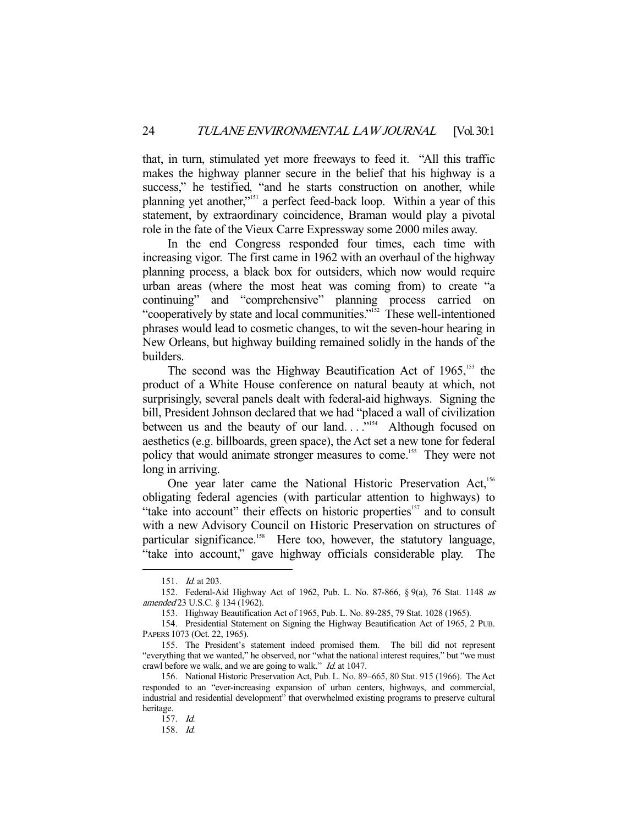that, in turn, stimulated yet more freeways to feed it. "All this traffic makes the highway planner secure in the belief that his highway is a success," he testified, "and he starts construction on another, while planning yet another,"151 a perfect feed-back loop. Within a year of this statement, by extraordinary coincidence, Braman would play a pivotal role in the fate of the Vieux Carre Expressway some 2000 miles away.

 In the end Congress responded four times, each time with increasing vigor. The first came in 1962 with an overhaul of the highway planning process, a black box for outsiders, which now would require urban areas (where the most heat was coming from) to create "a continuing" and "comprehensive" planning process carried on "cooperatively by state and local communities."<sup>152</sup> These well-intentioned phrases would lead to cosmetic changes, to wit the seven-hour hearing in New Orleans, but highway building remained solidly in the hands of the builders.

The second was the Highway Beautification Act of  $1965$ ,<sup>153</sup> the product of a White House conference on natural beauty at which, not surprisingly, several panels dealt with federal-aid highways. Signing the bill, President Johnson declared that we had "placed a wall of civilization between us and the beauty of our land. . .<sup>79154</sup> Although focused on aesthetics (e.g. billboards, green space), the Act set a new tone for federal policy that would animate stronger measures to come.<sup>155</sup> They were not long in arriving.

One year later came the National Historic Preservation Act,<sup>156</sup> obligating federal agencies (with particular attention to highways) to "take into account" their effects on historic properties<sup>157</sup> and to consult with a new Advisory Council on Historic Preservation on structures of particular significance.<sup>158</sup> Here too, however, the statutory language, "take into account," gave highway officials considerable play. The

 <sup>151.</sup> Id. at 203.

 <sup>152.</sup> Federal-Aid Highway Act of 1962, Pub. L. No. 87-866, § 9(a), 76 Stat. 1148 as amended 23 U.S.C. § 134 (1962).

 <sup>153.</sup> Highway Beautification Act of 1965, Pub. L. No. 89-285, 79 Stat. 1028 (1965).

 <sup>154.</sup> Presidential Statement on Signing the Highway Beautification Act of 1965, 2 PUB. PAPERS 1073 (Oct. 22, 1965).

 <sup>155.</sup> The President's statement indeed promised them. The bill did not represent "everything that we wanted," he observed, nor "what the national interest requires," but "we must crawl before we walk, and we are going to walk." *Id.* at 1047.

 <sup>156.</sup> National Historic Preservation Act, Pub. L. No. 89–665, 80 Stat. 915 (1966). The Act responded to an "ever-increasing expansion of urban centers, highways, and commercial, industrial and residential development" that overwhelmed existing programs to preserve cultural heritage.

 <sup>157.</sup> Id.

 <sup>158.</sup> Id.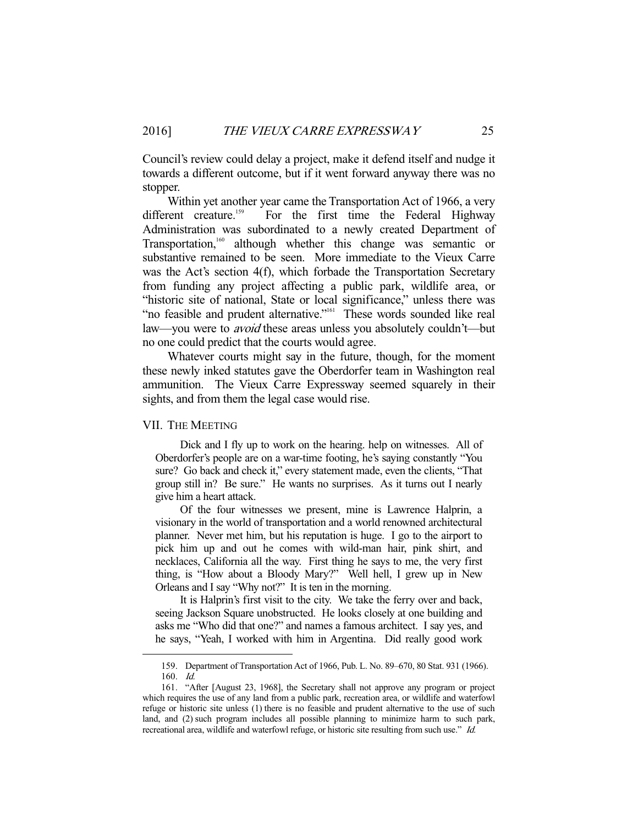Council's review could delay a project, make it defend itself and nudge it towards a different outcome, but if it went forward anyway there was no stopper.

 Within yet another year came the Transportation Act of 1966, a very different creature.<sup>159</sup> For the first time the Federal Highway Administration was subordinated to a newly created Department of Transportation,160 although whether this change was semantic or substantive remained to be seen. More immediate to the Vieux Carre was the Act's section 4(f), which forbade the Transportation Secretary from funding any project affecting a public park, wildlife area, or "historic site of national, State or local significance," unless there was "no feasible and prudent alternative."<sup>161</sup> These words sounded like real law—you were to *avoid* these areas unless you absolutely couldn't—but no one could predict that the courts would agree.

 Whatever courts might say in the future, though, for the moment these newly inked statutes gave the Oberdorfer team in Washington real ammunition. The Vieux Carre Expressway seemed squarely in their sights, and from them the legal case would rise.

#### VII. THE MEETING

-

 Dick and I fly up to work on the hearing. help on witnesses. All of Oberdorfer's people are on a war-time footing, he's saying constantly "You sure? Go back and check it," every statement made, even the clients, "That group still in? Be sure." He wants no surprises. As it turns out I nearly give him a heart attack.

 Of the four witnesses we present, mine is Lawrence Halprin, a visionary in the world of transportation and a world renowned architectural planner. Never met him, but his reputation is huge. I go to the airport to pick him up and out he comes with wild-man hair, pink shirt, and necklaces, California all the way. First thing he says to me, the very first thing, is "How about a Bloody Mary?" Well hell, I grew up in New Orleans and I say "Why not?" It is ten in the morning.

 It is Halprin's first visit to the city. We take the ferry over and back, seeing Jackson Square unobstructed. He looks closely at one building and asks me "Who did that one?" and names a famous architect. I say yes, and he says, "Yeah, I worked with him in Argentina. Did really good work

 <sup>159.</sup> Department of Transportation Act of 1966, Pub. L. No. 89–670, 80 Stat. 931 (1966). 160. Id.

 <sup>161. &</sup>quot;After [August 23, 1968], the Secretary shall not approve any program or project which requires the use of any land from a public park, recreation area, or wildlife and waterfowl refuge or historic site unless (1) there is no feasible and prudent alternative to the use of such land, and (2) such program includes all possible planning to minimize harm to such park, recreational area, wildlife and waterfowl refuge, or historic site resulting from such use." Id.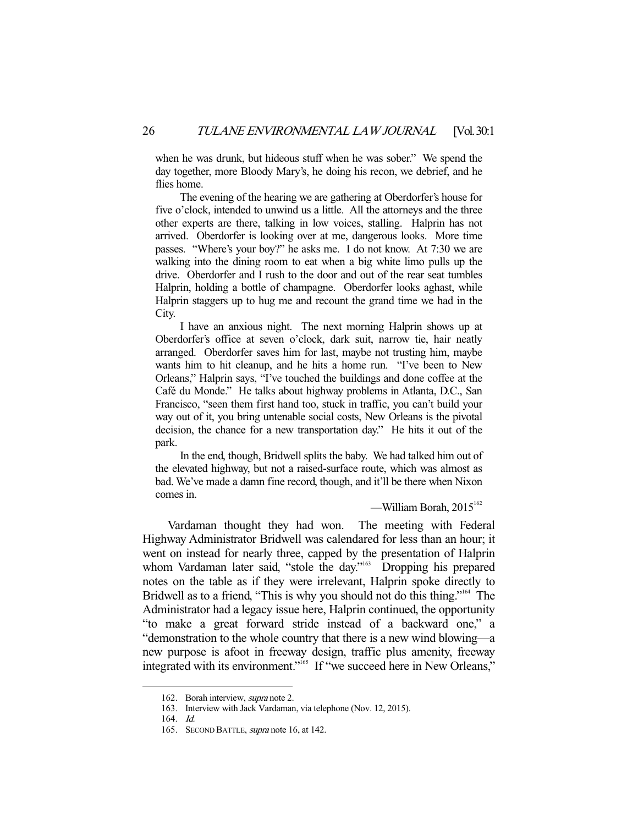when he was drunk, but hideous stuff when he was sober." We spend the day together, more Bloody Mary's, he doing his recon, we debrief, and he flies home.

 The evening of the hearing we are gathering at Oberdorfer's house for five o'clock, intended to unwind us a little. All the attorneys and the three other experts are there, talking in low voices, stalling. Halprin has not arrived. Oberdorfer is looking over at me, dangerous looks. More time passes. "Where's your boy?" he asks me. I do not know. At 7:30 we are walking into the dining room to eat when a big white limo pulls up the drive. Oberdorfer and I rush to the door and out of the rear seat tumbles Halprin, holding a bottle of champagne. Oberdorfer looks aghast, while Halprin staggers up to hug me and recount the grand time we had in the City.

 I have an anxious night. The next morning Halprin shows up at Oberdorfer's office at seven o'clock, dark suit, narrow tie, hair neatly arranged. Oberdorfer saves him for last, maybe not trusting him, maybe wants him to hit cleanup, and he hits a home run. "I've been to New Orleans," Halprin says, "I've touched the buildings and done coffee at the Café du Monde." He talks about highway problems in Atlanta, D.C., San Francisco, "seen them first hand too, stuck in traffic, you can't build your way out of it, you bring untenable social costs, New Orleans is the pivotal decision, the chance for a new transportation day." He hits it out of the park.

 In the end, though, Bridwell splits the baby. We had talked him out of the elevated highway, but not a raised-surface route, which was almost as bad. We've made a damn fine record, though, and it'll be there when Nixon comes in.

—William Borah,  $2015^{162}$ 

 Vardaman thought they had won. The meeting with Federal Highway Administrator Bridwell was calendared for less than an hour; it went on instead for nearly three, capped by the presentation of Halprin whom Vardaman later said, "stole the day."<sup>163</sup> Dropping his prepared notes on the table as if they were irrelevant, Halprin spoke directly to Bridwell as to a friend, "This is why you should not do this thing."<sup>164</sup> The Administrator had a legacy issue here, Halprin continued, the opportunity "to make a great forward stride instead of a backward one," a "demonstration to the whole country that there is a new wind blowing—a new purpose is afoot in freeway design, traffic plus amenity, freeway integrated with its environment."<sup>165</sup> If "we succeed here in New Orleans,"

 <sup>162.</sup> Borah interview, supra note 2.

 <sup>163.</sup> Interview with Jack Vardaman, via telephone (Nov. 12, 2015).

 <sup>164.</sup> Id.

<sup>165.</sup> SECOND BATTLE, *supra* note 16, at 142.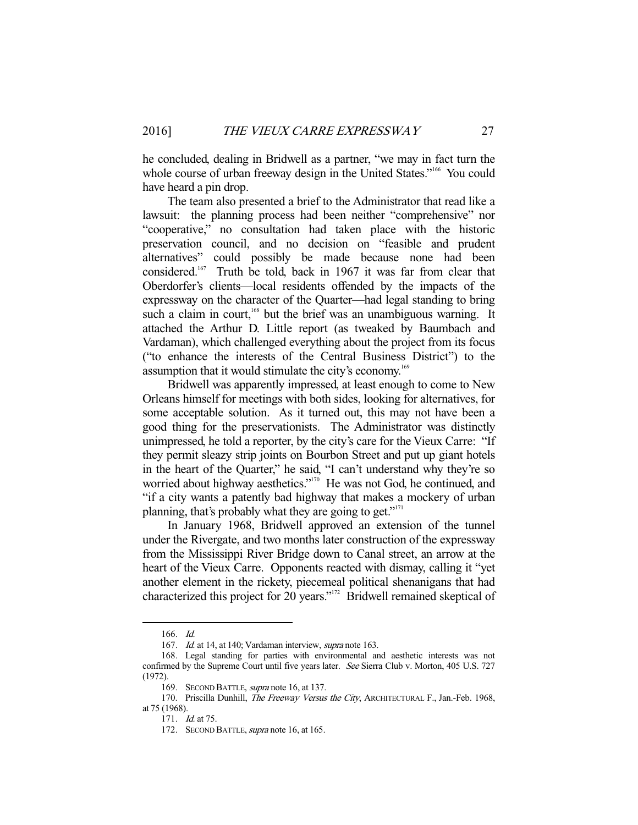he concluded, dealing in Bridwell as a partner, "we may in fact turn the whole course of urban freeway design in the United States."<sup>166</sup> You could have heard a pin drop.

 The team also presented a brief to the Administrator that read like a lawsuit: the planning process had been neither "comprehensive" nor "cooperative," no consultation had taken place with the historic preservation council, and no decision on "feasible and prudent alternatives" could possibly be made because none had been considered.<sup>167</sup> Truth be told, back in 1967 it was far from clear that Oberdorfer's clients—local residents offended by the impacts of the expressway on the character of the Quarter—had legal standing to bring such a claim in court,<sup>168</sup> but the brief was an unambiguous warning. It attached the Arthur D. Little report (as tweaked by Baumbach and Vardaman), which challenged everything about the project from its focus ("to enhance the interests of the Central Business District") to the assumption that it would stimulate the city's economy.<sup>169</sup>

 Bridwell was apparently impressed, at least enough to come to New Orleans himself for meetings with both sides, looking for alternatives, for some acceptable solution. As it turned out, this may not have been a good thing for the preservationists. The Administrator was distinctly unimpressed, he told a reporter, by the city's care for the Vieux Carre: "If they permit sleazy strip joints on Bourbon Street and put up giant hotels in the heart of the Quarter," he said, "I can't understand why they're so worried about highway aesthetics."<sup>170</sup> He was not God, he continued, and "if a city wants a patently bad highway that makes a mockery of urban planning, that's probably what they are going to get."<sup>171</sup>

 In January 1968, Bridwell approved an extension of the tunnel under the Rivergate, and two months later construction of the expressway from the Mississippi River Bridge down to Canal street, an arrow at the heart of the Vieux Carre. Opponents reacted with dismay, calling it "yet another element in the rickety, piecemeal political shenanigans that had characterized this project for 20 years."172 Bridwell remained skeptical of

 <sup>166.</sup> Id.

<sup>167.</sup> Id. at 14, at 140; Vardaman interview, *supra* note 163.

 <sup>168.</sup> Legal standing for parties with environmental and aesthetic interests was not confirmed by the Supreme Court until five years later. See Sierra Club v. Morton, 405 U.S. 727 (1972).

<sup>169.</sup> SECOND BATTLE, supra note 16, at 137.

<sup>170.</sup> Priscilla Dunhill, The Freeway Versus the City, ARCHITECTURAL F., Jan.-Feb. 1968, at 75 (1968).

 <sup>171.</sup> Id. at 75.

<sup>172.</sup> SECOND BATTLE, supra note 16, at 165.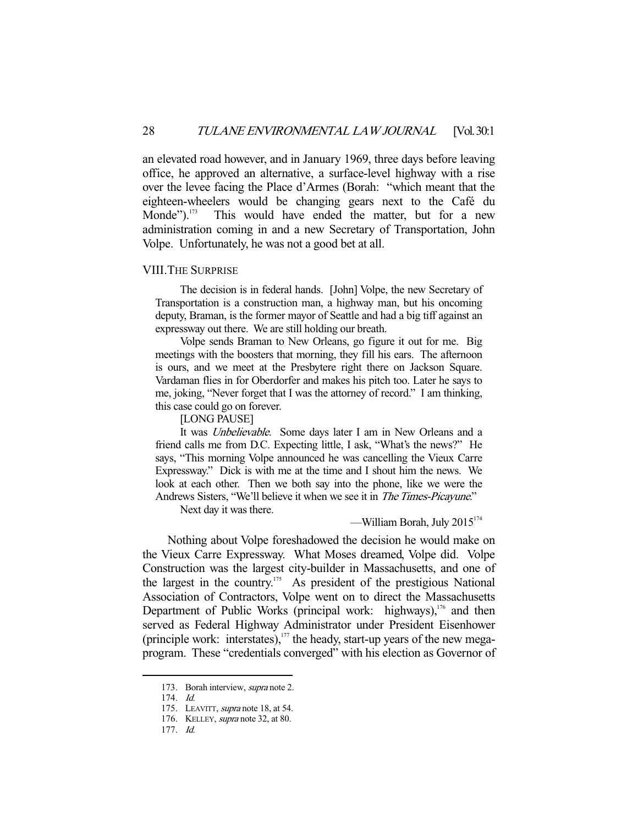an elevated road however, and in January 1969, three days before leaving office, he approved an alternative, a surface-level highway with a rise over the levee facing the Place d'Armes (Borah: "which meant that the eighteen-wheelers would be changing gears next to the Café du Monde").<sup>173</sup> This would have ended the matter, but for a new administration coming in and a new Secretary of Transportation, John Volpe. Unfortunately, he was not a good bet at all.

#### VIII. THE SURPRISE

 The decision is in federal hands. [John] Volpe, the new Secretary of Transportation is a construction man, a highway man, but his oncoming deputy, Braman, is the former mayor of Seattle and had a big tiff against an expressway out there. We are still holding our breath.

 Volpe sends Braman to New Orleans, go figure it out for me. Big meetings with the boosters that morning, they fill his ears. The afternoon is ours, and we meet at the Presbytere right there on Jackson Square. Vardaman flies in for Oberdorfer and makes his pitch too. Later he says to me, joking, "Never forget that I was the attorney of record." I am thinking, this case could go on forever.

[LONG PAUSE]

 It was Unbelievable. Some days later I am in New Orleans and a friend calls me from D.C. Expecting little, I ask, "What's the news?" He says, "This morning Volpe announced he was cancelling the Vieux Carre Expressway." Dick is with me at the time and I shout him the news. We look at each other. Then we both say into the phone, like we were the Andrews Sisters, "We'll believe it when we see it in The Times-Picayune."

Next day it was there.

—William Borah, July  $2015^{174}$ 

 Nothing about Volpe foreshadowed the decision he would make on the Vieux Carre Expressway. What Moses dreamed, Volpe did. Volpe Construction was the largest city-builder in Massachusetts, and one of the largest in the country.<sup>175</sup> As president of the prestigious National Association of Contractors, Volpe went on to direct the Massachusetts Department of Public Works (principal work: highways), $176$  and then served as Federal Highway Administrator under President Eisenhower (principle work: interstates), $177$  the heady, start-up years of the new megaprogram. These "credentials converged" with his election as Governor of

<sup>173.</sup> Borah interview, supra note 2.

 <sup>174.</sup> Id.

<sup>175.</sup> LEAVITT, *supra* note 18, at 54.

 <sup>176.</sup> KELLEY, supra note 32, at 80.

 <sup>177.</sup> Id.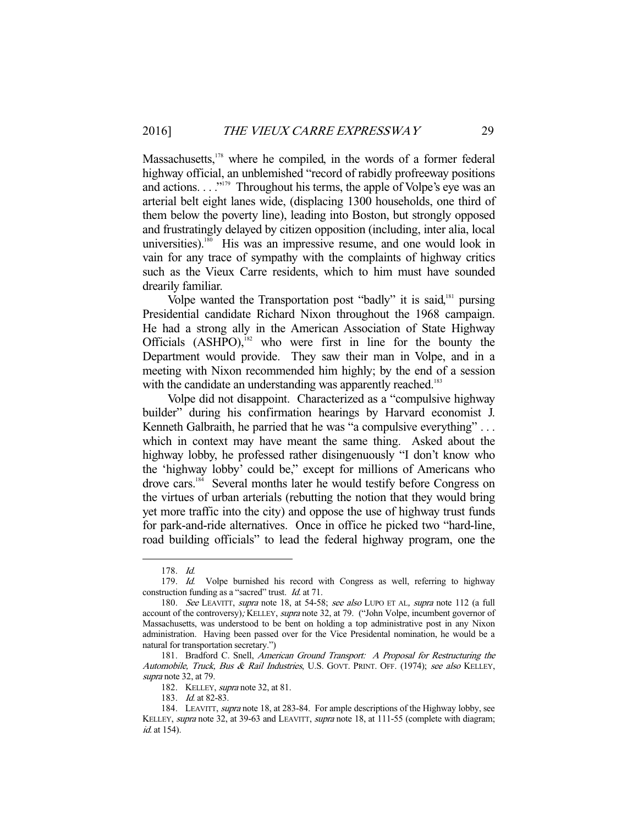Massachusetts,<sup>178</sup> where he compiled, in the words of a former federal highway official, an unblemished "record of rabidly profreeway positions and actions.  $\ldots$ <sup>"179</sup> Throughout his terms, the apple of Volpe's eye was an arterial belt eight lanes wide, (displacing 1300 households, one third of them below the poverty line), leading into Boston, but strongly opposed and frustratingly delayed by citizen opposition (including, inter alia, local universities).<sup>180</sup> His was an impressive resume, and one would look in vain for any trace of sympathy with the complaints of highway critics such as the Vieux Carre residents, which to him must have sounded drearily familiar.

Volpe wanted the Transportation post "badly" it is said,<sup>181</sup> pursing Presidential candidate Richard Nixon throughout the 1968 campaign. He had a strong ally in the American Association of State Highway Officials  $(ASHPO)$ ,<sup>182</sup> who were first in line for the bounty the Department would provide. They saw their man in Volpe, and in a meeting with Nixon recommended him highly; by the end of a session with the candidate an understanding was apparently reached.<sup>183</sup>

 Volpe did not disappoint. Characterized as a "compulsive highway builder" during his confirmation hearings by Harvard economist J. Kenneth Galbraith, he parried that he was "a compulsive everything"... which in context may have meant the same thing. Asked about the highway lobby, he professed rather disingenuously "I don't know who the 'highway lobby' could be," except for millions of Americans who drove cars.184 Several months later he would testify before Congress on the virtues of urban arterials (rebutting the notion that they would bring yet more traffic into the city) and oppose the use of highway trust funds for park-and-ride alternatives. Once in office he picked two "hard-line, road building officials" to lead the federal highway program, one the

 <sup>178.</sup> Id.

<sup>179.</sup> Id. Volpe burnished his record with Congress as well, referring to highway construction funding as a "sacred" trust. Id. at 71.

<sup>180.</sup> See LEAVITT, supra note 18, at 54-58; see also LUPO ET AL, supra note 112 (a full account of the controversy); KELLEY, *supra* note 32, at 79. ("John Volpe, incumbent governor of Massachusetts, was understood to be bent on holding a top administrative post in any Nixon administration. Having been passed over for the Vice Presidental nomination, he would be a natural for transportation secretary.")

 <sup>181.</sup> Bradford C. Snell, American Ground Transport: A Proposal for Restructuring the Automobile, Truck, Bus & Rail Industries, U.S. GOVT. PRINT. OFF. (1974); see also KELLEY, supra note 32, at 79.

<sup>182.</sup> KELLEY, *supra* note 32, at 81.

 <sup>183.</sup> Id. at 82-83.

 <sup>184.</sup> LEAVITT, supra note 18, at 283-84. For ample descriptions of the Highway lobby, see KELLEY, supra note 32, at 39-63 and LEAVITT, supra note 18, at 111-55 (complete with diagram; id. at 154).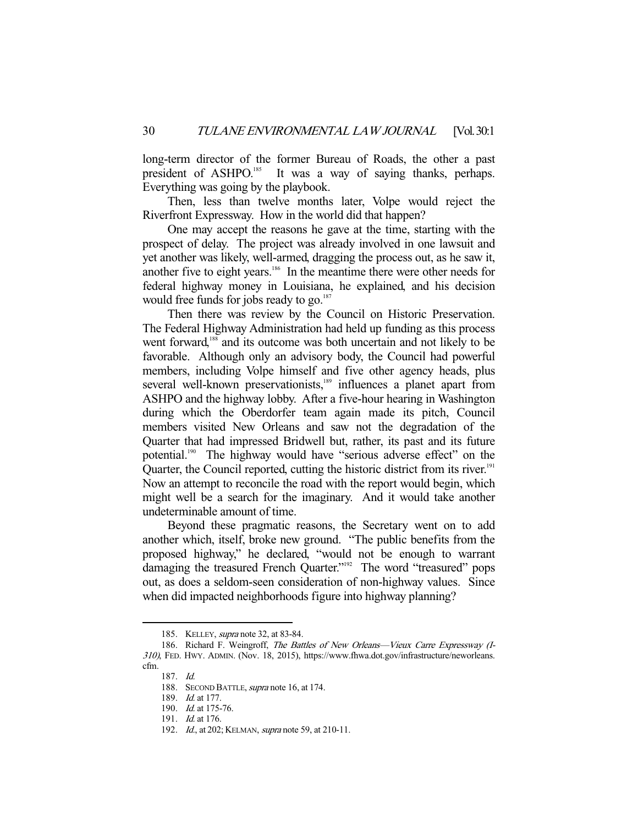long-term director of the former Bureau of Roads, the other a past president of ASHPO.<sup>185</sup> It was a way of saying thanks, perhaps. Everything was going by the playbook.

 Then, less than twelve months later, Volpe would reject the Riverfront Expressway. How in the world did that happen?

 One may accept the reasons he gave at the time, starting with the prospect of delay. The project was already involved in one lawsuit and yet another was likely, well-armed, dragging the process out, as he saw it, another five to eight years.186 In the meantime there were other needs for federal highway money in Louisiana, he explained, and his decision would free funds for jobs ready to go.<sup>187</sup>

 Then there was review by the Council on Historic Preservation. The Federal Highway Administration had held up funding as this process went forward,<sup>188</sup> and its outcome was both uncertain and not likely to be favorable. Although only an advisory body, the Council had powerful members, including Volpe himself and five other agency heads, plus several well-known preservationists,<sup>189</sup> influences a planet apart from ASHPO and the highway lobby. After a five-hour hearing in Washington during which the Oberdorfer team again made its pitch, Council members visited New Orleans and saw not the degradation of the Quarter that had impressed Bridwell but, rather, its past and its future potential.<sup>190</sup> The highway would have "serious adverse effect" on the Quarter, the Council reported, cutting the historic district from its river.<sup>191</sup> Now an attempt to reconcile the road with the report would begin, which might well be a search for the imaginary. And it would take another undeterminable amount of time.

 Beyond these pragmatic reasons, the Secretary went on to add another which, itself, broke new ground. "The public benefits from the proposed highway," he declared, "would not be enough to warrant damaging the treasured French Quarter."<sup>192</sup> The word "treasured" pops out, as does a seldom-seen consideration of non-highway values. Since when did impacted neighborhoods figure into highway planning?

 <sup>185.</sup> KELLEY, supra note 32, at 83-84.

<sup>186.</sup> Richard F. Weingroff, The Battles of New Orleans—Vieux Carre Expressway (I-310), FED. HWY. ADMIN. (Nov. 18, 2015), https://www.fhwa.dot.gov/infrastructure/neworleans. cfm.

 <sup>187.</sup> Id.

<sup>188.</sup> SECOND BATTLE, supra note 16, at 174.

<sup>189.</sup> *Id.* at 177.

 <sup>190.</sup> Id. at 175-76.

 <sup>191.</sup> Id. at 176.

<sup>192.</sup> *Id.*, at 202; KELMAN, *supra* note 59, at 210-11.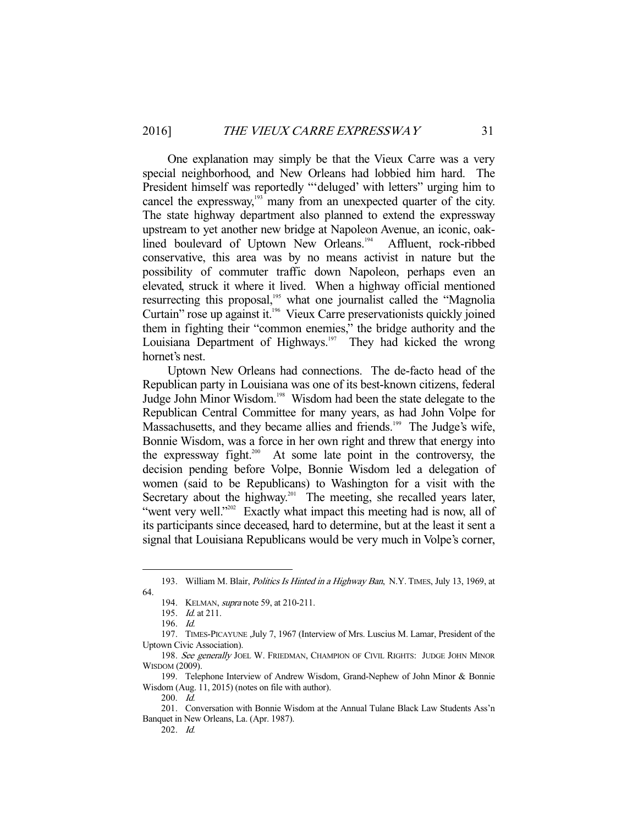One explanation may simply be that the Vieux Carre was a very special neighborhood, and New Orleans had lobbied him hard. The President himself was reportedly "'deluged' with letters" urging him to cancel the expressway, $193$  many from an unexpected quarter of the city. The state highway department also planned to extend the expressway upstream to yet another new bridge at Napoleon Avenue, an iconic, oaklined boulevard of Uptown New Orleans.<sup>194</sup> Affluent, rock-ribbed conservative, this area was by no means activist in nature but the possibility of commuter traffic down Napoleon, perhaps even an elevated, struck it where it lived. When a highway official mentioned resurrecting this proposal,<sup>195</sup> what one journalist called the "Magnolia Curtain" rose up against it.196 Vieux Carre preservationists quickly joined them in fighting their "common enemies," the bridge authority and the Louisiana Department of Highways.<sup>197</sup> They had kicked the wrong hornet's nest.

 Uptown New Orleans had connections. The de-facto head of the Republican party in Louisiana was one of its best-known citizens, federal Judge John Minor Wisdom.198 Wisdom had been the state delegate to the Republican Central Committee for many years, as had John Volpe for Massachusetts, and they became allies and friends.<sup>199</sup> The Judge's wife, Bonnie Wisdom, was a force in her own right and threw that energy into the expressway fight.<sup>200</sup> At some late point in the controversy, the decision pending before Volpe, Bonnie Wisdom led a delegation of women (said to be Republicans) to Washington for a visit with the Secretary about the highway.<sup>201</sup> The meeting, she recalled years later, "went very well."<sup>202</sup> Exactly what impact this meeting had is now, all of its participants since deceased, hard to determine, but at the least it sent a signal that Louisiana Republicans would be very much in Volpe's corner,

<sup>193.</sup> William M. Blair, *Politics Is Hinted in a Highway Ban*, N.Y. TIMES, July 13, 1969, at 64.

 <sup>194.</sup> KELMAN, supra note 59, at 210-211.

 <sup>195.</sup> Id. at 211.

 <sup>196.</sup> Id.

 <sup>197.</sup> TIMES-PICAYUNE ,July 7, 1967 (Interview of Mrs. Luscius M. Lamar, President of the Uptown Civic Association).

<sup>198.</sup> See generally JOEL W. FRIEDMAN, CHAMPION OF CIVIL RIGHTS: JUDGE JOHN MINOR WISDOM (2009).

 <sup>199.</sup> Telephone Interview of Andrew Wisdom, Grand-Nephew of John Minor & Bonnie Wisdom (Aug. 11, 2015) (notes on file with author).

 <sup>200.</sup> Id.

 <sup>201.</sup> Conversation with Bonnie Wisdom at the Annual Tulane Black Law Students Ass'n Banquet in New Orleans, La. (Apr. 1987).

 <sup>202.</sup> Id.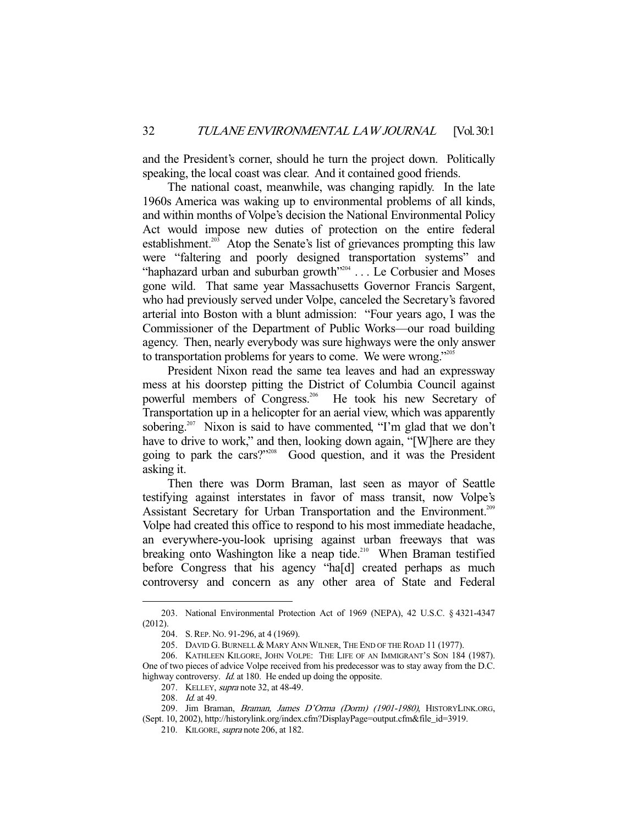and the President's corner, should he turn the project down. Politically speaking, the local coast was clear. And it contained good friends.

 The national coast, meanwhile, was changing rapidly. In the late 1960s America was waking up to environmental problems of all kinds, and within months of Volpe's decision the National Environmental Policy Act would impose new duties of protection on the entire federal establishment.<sup>203</sup> Atop the Senate's list of grievances prompting this law were "faltering and poorly designed transportation systems" and "haphazard urban and suburban growth"204 . . . Le Corbusier and Moses gone wild. That same year Massachusetts Governor Francis Sargent, who had previously served under Volpe, canceled the Secretary's favored arterial into Boston with a blunt admission: "Four years ago, I was the Commissioner of the Department of Public Works—our road building agency. Then, nearly everybody was sure highways were the only answer to transportation problems for years to come. We were wrong."205

 President Nixon read the same tea leaves and had an expressway mess at his doorstep pitting the District of Columbia Council against powerful members of Congress.<sup>206</sup> He took his new Secretary of Transportation up in a helicopter for an aerial view, which was apparently sobering.<sup>207</sup> Nixon is said to have commented, "I'm glad that we don't have to drive to work," and then, looking down again, "[W]here are they going to park the cars?"208 Good question, and it was the President asking it.

 Then there was Dorm Braman, last seen as mayor of Seattle testifying against interstates in favor of mass transit, now Volpe's Assistant Secretary for Urban Transportation and the Environment.<sup>209</sup> Volpe had created this office to respond to his most immediate headache, an everywhere-you-look uprising against urban freeways that was breaking onto Washington like a neap tide.<sup>210</sup> When Braman testified before Congress that his agency "ha[d] created perhaps as much controversy and concern as any other area of State and Federal

 <sup>203.</sup> National Environmental Protection Act of 1969 (NEPA), 42 U.S.C. § 4321-4347 (2012).

 <sup>204.</sup> S.REP. NO. 91-296, at 4 (1969).

<sup>205.</sup> DAVID G. BURNELL & MARY ANN WILNER, THE END OF THE ROAD 11 (1977).

 <sup>206.</sup> KATHLEEN KILGORE, JOHN VOLPE: THE LIFE OF AN IMMIGRANT'S SON 184 (1987). One of two pieces of advice Volpe received from his predecessor was to stay away from the D.C. highway controversy. *Id.* at 180. He ended up doing the opposite.

<sup>207.</sup> KELLEY, *supra* note 32, at 48-49.

<sup>208.</sup> *Id.* at 49.

<sup>209.</sup> Jim Braman, Braman, James D'Orma (Dorm) (1901-1980), HISTORYLINK.ORG, (Sept. 10, 2002), http://historylink.org/index.cfm?DisplayPage=output.cfm&file\_id=3919.

 <sup>210.</sup> KILGORE, supra note 206, at 182.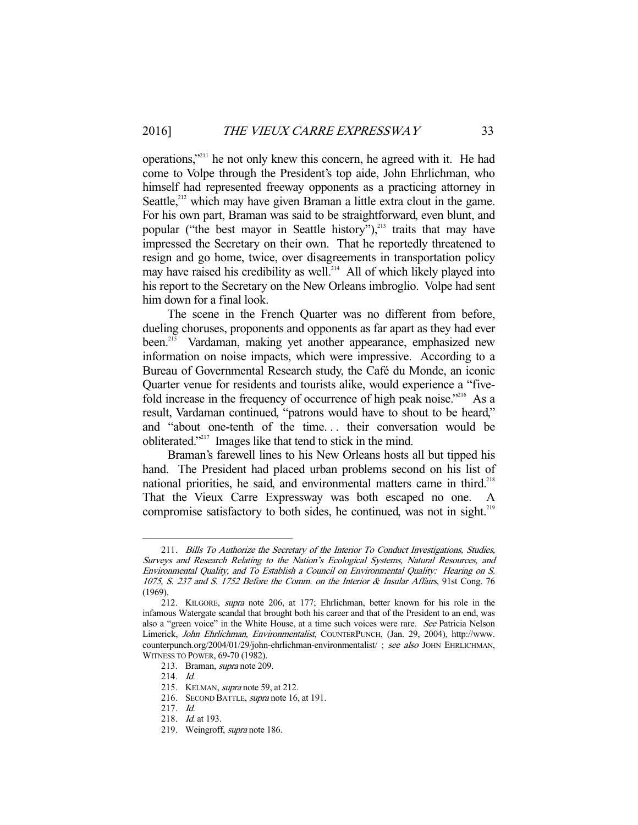operations,"211 he not only knew this concern, he agreed with it. He had come to Volpe through the President's top aide, John Ehrlichman, who himself had represented freeway opponents as a practicing attorney in Seattle,<sup>212</sup> which may have given Braman a little extra clout in the game. For his own part, Braman was said to be straightforward, even blunt, and popular ("the best mayor in Seattle history"),<sup>213</sup> traits that may have impressed the Secretary on their own. That he reportedly threatened to resign and go home, twice, over disagreements in transportation policy may have raised his credibility as well.<sup>214</sup> All of which likely played into his report to the Secretary on the New Orleans imbroglio. Volpe had sent him down for a final look.

 The scene in the French Quarter was no different from before, dueling choruses, proponents and opponents as far apart as they had ever been.<sup>215</sup> Vardaman, making yet another appearance, emphasized new information on noise impacts, which were impressive. According to a Bureau of Governmental Research study, the Café du Monde, an iconic Quarter venue for residents and tourists alike, would experience a "fivefold increase in the frequency of occurrence of high peak noise."<sup>216</sup> As a result, Vardaman continued, "patrons would have to shout to be heard," and "about one-tenth of the time. . . their conversation would be obliterated."217 Images like that tend to stick in the mind.

 Braman's farewell lines to his New Orleans hosts all but tipped his hand. The President had placed urban problems second on his list of national priorities, he said, and environmental matters came in third.<sup>218</sup> That the Vieux Carre Expressway was both escaped no one. A compromise satisfactory to both sides, he continued, was not in sight.<sup>219</sup>

 <sup>211.</sup> Bills To Authorize the Secretary of the Interior To Conduct Investigations, Studies, Surveys and Research Relating to the Nation's Ecological Systems, Natural Resources, and Environmental Quality, and To Establish a Council on Environmental Quality: Hearing on S. 1075, S. 237 and S. 1752 Before the Comm. on the Interior & Insular Affairs, 91st Cong. 76 (1969).

 <sup>212.</sup> KILGORE, supra note 206, at 177; Ehrlichman, better known for his role in the infamous Watergate scandal that brought both his career and that of the President to an end, was also a "green voice" in the White House, at a time such voices were rare. See Patricia Nelson Limerick, John Ehrlichman, Environmentalist, COUNTERPUNCH, (Jan. 29, 2004), http://www. counterpunch.org/2004/01/29/john-ehrlichman-environmentalist/ ; see also JOHN EHRLICHMAN, WITNESS TO POWER, 69-70 (1982).

 <sup>213.</sup> Braman, supra note 209.

 <sup>214.</sup> Id.

<sup>215.</sup> KELMAN, *supra* note 59, at 212.

<sup>216.</sup> SECOND BATTLE, supra note 16, at 191.

 <sup>217.</sup> Id.

 <sup>218.</sup> Id. at 193.

 <sup>219.</sup> Weingroff, supra note 186.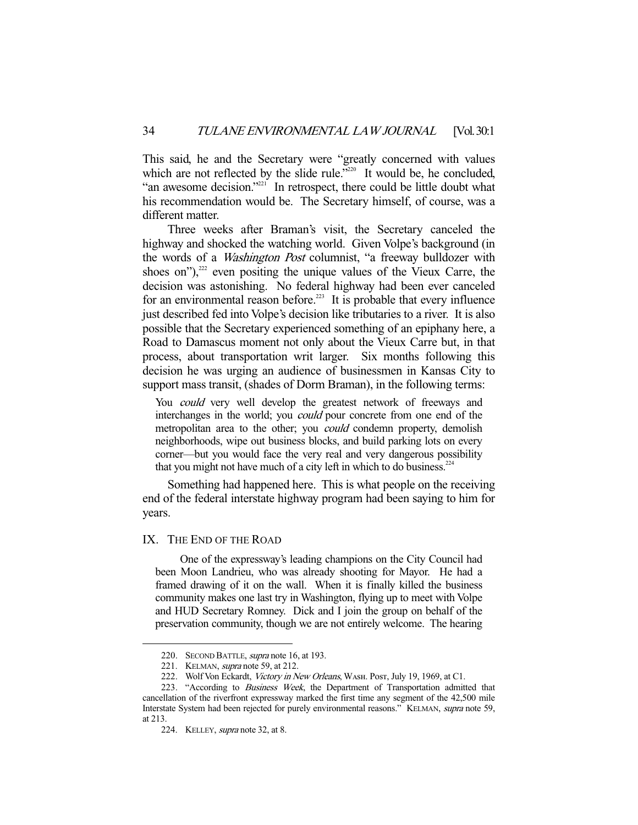This said, he and the Secretary were "greatly concerned with values which are not reflected by the slide rule."<sup>220</sup> It would be, he concluded, "an awesome decision."<sup>221</sup> In retrospect, there could be little doubt what his recommendation would be. The Secretary himself, of course, was a different matter.

 Three weeks after Braman's visit, the Secretary canceled the highway and shocked the watching world. Given Volpe's background (in the words of a Washington Post columnist, "a freeway bulldozer with shoes on"), $^{222}$  even positing the unique values of the Vieux Carre, the decision was astonishing. No federal highway had been ever canceled for an environmental reason before.<sup>223</sup> It is probable that every influence just described fed into Volpe's decision like tributaries to a river. It is also possible that the Secretary experienced something of an epiphany here, a Road to Damascus moment not only about the Vieux Carre but, in that process, about transportation writ larger. Six months following this decision he was urging an audience of businessmen in Kansas City to support mass transit, (shades of Dorm Braman), in the following terms:

You *could* very well develop the greatest network of freeways and interchanges in the world; you *could* pour concrete from one end of the metropolitan area to the other; you *could* condemn property, demolish neighborhoods, wipe out business blocks, and build parking lots on every corner—but you would face the very real and very dangerous possibility that you might not have much of a city left in which to do business.<sup>224</sup>

 Something had happened here. This is what people on the receiving end of the federal interstate highway program had been saying to him for years.

#### IX. THE END OF THE ROAD

 One of the expressway's leading champions on the City Council had been Moon Landrieu, who was already shooting for Mayor. He had a framed drawing of it on the wall. When it is finally killed the business community makes one last try in Washington, flying up to meet with Volpe and HUD Secretary Romney. Dick and I join the group on behalf of the preservation community, though we are not entirely welcome. The hearing

<sup>220.</sup> SECOND BATTLE, *supra* note 16, at 193.

<sup>221.</sup> KELMAN, *supra* note 59, at 212.

<sup>222.</sup> Wolf Von Eckardt, Victory in New Orleans, WASH. Post, July 19, 1969, at C1.

<sup>223. &</sup>quot;According to Business Week, the Department of Transportation admitted that cancellation of the riverfront expressway marked the first time any segment of the 42,500 mile Interstate System had been rejected for purely environmental reasons." KELMAN, supra note 59, at 213.

<sup>224.</sup> KELLEY, *supra* note 32, at 8.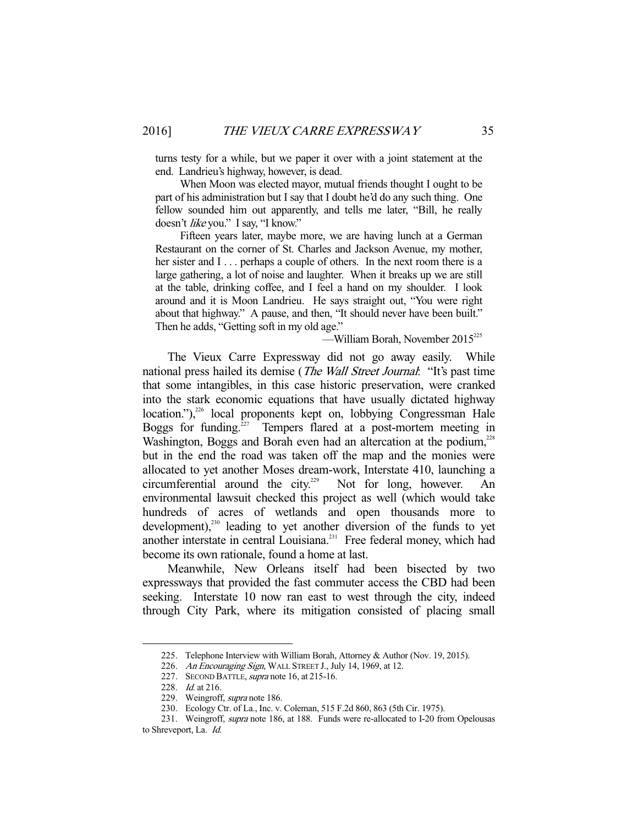turns testy for a while, but we paper it over with a joint statement at the end. Landrieu's highway, however, is dead.

 When Moon was elected mayor, mutual friends thought I ought to be part of his administration but I say that I doubt he'd do any such thing. One fellow sounded him out apparently, and tells me later, "Bill, he really doesn't like you." I say, "I know."

 Fifteen years later, maybe more, we are having lunch at a German Restaurant on the corner of St. Charles and Jackson Avenue, my mother, her sister and I . . . perhaps a couple of others. In the next room there is a large gathering, a lot of noise and laughter. When it breaks up we are still at the table, drinking coffee, and I feel a hand on my shoulder. I look around and it is Moon Landrieu. He says straight out, "You were right about that highway." A pause, and then, "It should never have been built." Then he adds, "Getting soft in my old age."

 $-William Borah$ , November 2015<sup>225</sup>

 The Vieux Carre Expressway did not go away easily. While national press hailed its demise (*The Wall Street Journal*: "It's past time that some intangibles, in this case historic preservation, were cranked into the stark economic equations that have usually dictated highway location."),<sup>226</sup> local proponents kept on, lobbying Congressman Hale Boggs for funding. $227$  Tempers flared at a post-mortem meeting in Washington, Boggs and Borah even had an altercation at the podium,<sup>228</sup> but in the end the road was taken off the map and the monies were allocated to yet another Moses dream-work, Interstate 410, launching a circumferential around the city.<sup>229</sup> Not for long, however. An environmental lawsuit checked this project as well (which would take hundreds of acres of wetlands and open thousands more to development),<sup>230</sup> leading to yet another diversion of the funds to yet another interstate in central Louisiana.<sup>231</sup> Free federal money, which had become its own rationale, found a home at last.

 Meanwhile, New Orleans itself had been bisected by two expressways that provided the fast commuter access the CBD had been seeking. Interstate 10 now ran east to west through the city, indeed through City Park, where its mitigation consisted of placing small

 <sup>225.</sup> Telephone Interview with William Borah, Attorney & Author (Nov. 19, 2015).

<sup>226.</sup> An Encouraging Sign, WALL STREET J., July 14, 1969, at 12.

<sup>227.</sup> SECOND BATTLE, *supra* note 16, at 215-16.

<sup>228.</sup> *Id.* at 216.

<sup>229.</sup> Weingroff, supra note 186.

 <sup>230.</sup> Ecology Ctr. of La., Inc. v. Coleman, 515 F.2d 860, 863 (5th Cir. 1975).

<sup>231.</sup> Weingroff, supra note 186, at 188. Funds were re-allocated to I-20 from Opelousas

to Shreveport, La. Id.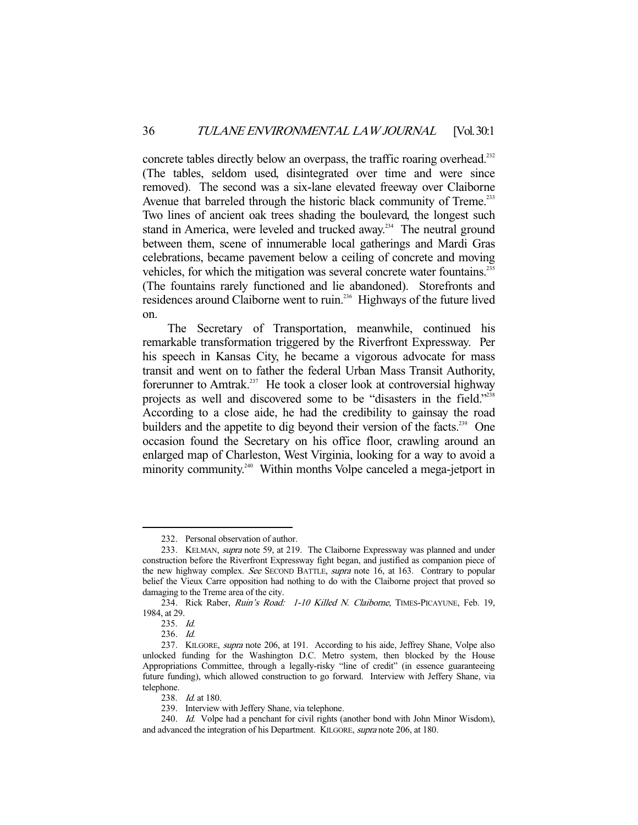concrete tables directly below an overpass, the traffic roaring overhead.<sup>232</sup> (The tables, seldom used, disintegrated over time and were since removed). The second was a six-lane elevated freeway over Claiborne Avenue that barreled through the historic black community of Treme.<sup>233</sup> Two lines of ancient oak trees shading the boulevard, the longest such stand in America, were leveled and trucked away.<sup>234</sup> The neutral ground between them, scene of innumerable local gatherings and Mardi Gras celebrations, became pavement below a ceiling of concrete and moving vehicles, for which the mitigation was several concrete water fountains.<sup>235</sup> (The fountains rarely functioned and lie abandoned). Storefronts and residences around Claiborne went to ruin.236 Highways of the future lived on.

 The Secretary of Transportation, meanwhile, continued his remarkable transformation triggered by the Riverfront Expressway. Per his speech in Kansas City, he became a vigorous advocate for mass transit and went on to father the federal Urban Mass Transit Authority, forerunner to Amtrak.<sup>237</sup> He took a closer look at controversial highway projects as well and discovered some to be "disasters in the field."<sup>238</sup> According to a close aide, he had the credibility to gainsay the road builders and the appetite to dig beyond their version of the facts.<sup>239</sup> One occasion found the Secretary on his office floor, crawling around an enlarged map of Charleston, West Virginia, looking for a way to avoid a minority community.<sup>240</sup> Within months Volpe canceled a mega-jetport in

 <sup>232.</sup> Personal observation of author.

<sup>233.</sup> KELMAN, *supra* note 59, at 219. The Claiborne Expressway was planned and under construction before the Riverfront Expressway fight began, and justified as companion piece of the new highway complex. See SECOND BATTLE, supra note 16, at 163. Contrary to popular belief the Vieux Carre opposition had nothing to do with the Claiborne project that proved so damaging to the Treme area of the city.

<sup>234.</sup> Rick Raber, Ruin's Road: 1-10 Killed N. Claiborne, TIMES-PICAYUNE, Feb. 19, 1984, at 29.

 <sup>235.</sup> Id.

 <sup>236.</sup> Id.

<sup>237.</sup> KILGORE, *supra* note 206, at 191. According to his aide, Jeffrey Shane, Volpe also unlocked funding for the Washington D.C. Metro system, then blocked by the House Appropriations Committee, through a legally-risky "line of credit" (in essence guaranteeing future funding), which allowed construction to go forward. Interview with Jeffery Shane, via telephone.

<sup>238.</sup> *Id.* at 180.

 <sup>239.</sup> Interview with Jeffery Shane, via telephone.

<sup>240.</sup> Id. Volpe had a penchant for civil rights (another bond with John Minor Wisdom), and advanced the integration of his Department. KILGORE, supra note 206, at 180.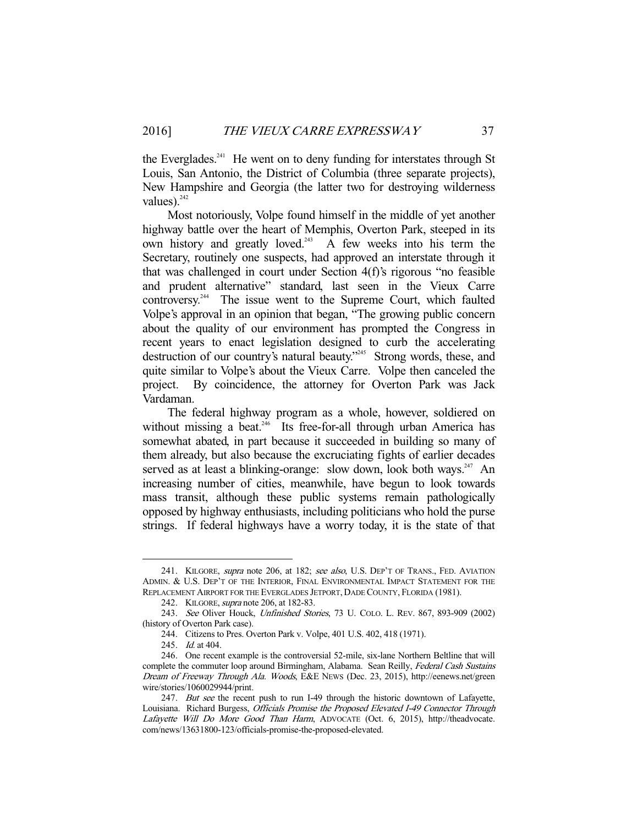the Everglades.<sup>241</sup> He went on to deny funding for interstates through St Louis, San Antonio, the District of Columbia (three separate projects), New Hampshire and Georgia (the latter two for destroying wilderness values).<sup>242</sup>

 Most notoriously, Volpe found himself in the middle of yet another highway battle over the heart of Memphis, Overton Park, steeped in its own history and greatly loved.<sup>243</sup> A few weeks into his term the Secretary, routinely one suspects, had approved an interstate through it that was challenged in court under Section 4(f)'s rigorous "no feasible and prudent alternative" standard, last seen in the Vieux Carre controversy.<sup>244</sup> The issue went to the Supreme Court, which faulted Volpe's approval in an opinion that began, "The growing public concern about the quality of our environment has prompted the Congress in recent years to enact legislation designed to curb the accelerating destruction of our country's natural beauty."<sup>245</sup> Strong words, these, and quite similar to Volpe's about the Vieux Carre. Volpe then canceled the project. By coincidence, the attorney for Overton Park was Jack Vardaman.

 The federal highway program as a whole, however, soldiered on without missing a beat.<sup>246</sup> Its free-for-all through urban America has somewhat abated, in part because it succeeded in building so many of them already, but also because the excruciating fights of earlier decades served as at least a blinking-orange: slow down, look both ways.<sup>247</sup> An increasing number of cities, meanwhile, have begun to look towards mass transit, although these public systems remain pathologically opposed by highway enthusiasts, including politicians who hold the purse strings. If federal highways have a worry today, it is the state of that

<sup>241.</sup> KILGORE, *supra* note 206, at 182; see also, U.S. DEP'T OF TRANS., FED. AVIATION ADMIN. & U.S. DEP'T OF THE INTERIOR, FINAL ENVIRONMENTAL IMPACT STATEMENT FOR THE REPLACEMENT AIRPORT FOR THE EVERGLADES JETPORT, DADE COUNTY, FLORIDA (1981).

<sup>242.</sup> KILGORE, *supra* note 206, at 182-83.

 <sup>243.</sup> See Oliver Houck, Unfinished Stories, 73 U. COLO. L. REV. 867, 893-909 (2002) (history of Overton Park case).

 <sup>244.</sup> Citizens to Pres. Overton Park v. Volpe, 401 U.S. 402, 418 (1971).

 <sup>245.</sup> Id. at 404.

 <sup>246.</sup> One recent example is the controversial 52-mile, six-lane Northern Beltline that will complete the commuter loop around Birmingham, Alabama. Sean Reilly, Federal Cash Sustains Dream of Freeway Through Ala. Woods, E&E NEWS (Dec. 23, 2015), http://eenews.net/green wire/stories/1060029944/print.

<sup>247.</sup> But see the recent push to run I-49 through the historic downtown of Lafayette, Louisiana. Richard Burgess, Officials Promise the Proposed Elevated I-49 Connector Through Lafayette Will Do More Good Than Harm, ADVOCATE (Oct. 6, 2015), http://theadvocate. com/news/13631800-123/officials-promise-the-proposed-elevated.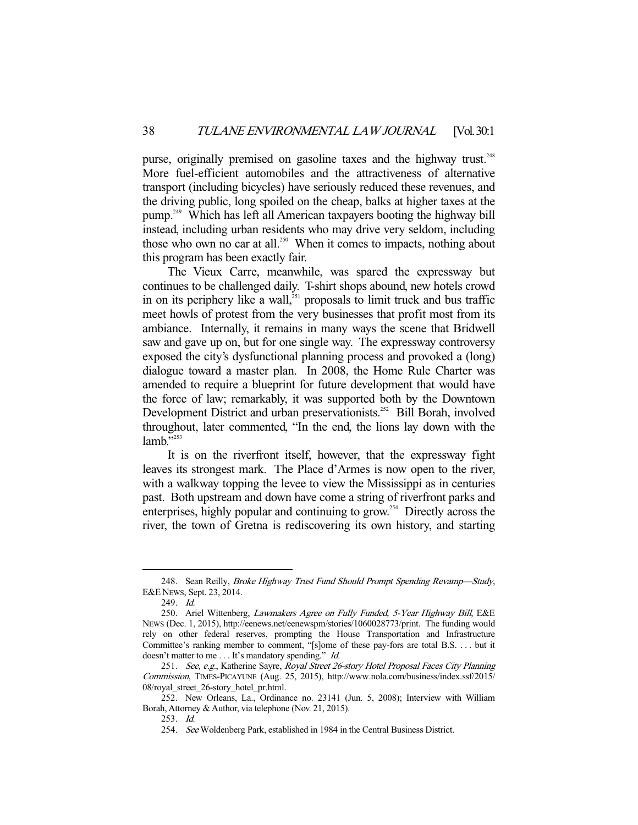purse, originally premised on gasoline taxes and the highway trust.<sup>248</sup> More fuel-efficient automobiles and the attractiveness of alternative transport (including bicycles) have seriously reduced these revenues, and the driving public, long spoiled on the cheap, balks at higher taxes at the pump.249 Which has left all American taxpayers booting the highway bill instead, including urban residents who may drive very seldom, including those who own no car at all.<sup>250</sup> When it comes to impacts, nothing about this program has been exactly fair.

 The Vieux Carre, meanwhile, was spared the expressway but continues to be challenged daily. T-shirt shops abound, new hotels crowd in on its periphery like a wall, $^{251}$  proposals to limit truck and bus traffic meet howls of protest from the very businesses that profit most from its ambiance. Internally, it remains in many ways the scene that Bridwell saw and gave up on, but for one single way. The expressway controversy exposed the city's dysfunctional planning process and provoked a (long) dialogue toward a master plan. In 2008, the Home Rule Charter was amended to require a blueprint for future development that would have the force of law; remarkably, it was supported both by the Downtown Development District and urban preservationists.<sup>252</sup> Bill Borah, involved throughout, later commented, "In the end, the lions lay down with the lamb."253

 It is on the riverfront itself, however, that the expressway fight leaves its strongest mark. The Place d'Armes is now open to the river, with a walkway topping the levee to view the Mississippi as in centuries past. Both upstream and down have come a string of riverfront parks and enterprises, highly popular and continuing to grow.<sup>254</sup> Directly across the river, the town of Gretna is rediscovering its own history, and starting

<sup>248.</sup> Sean Reilly, Broke Highway Trust Fund Should Prompt Spending Revamp-Study, E&E NEWS, Sept. 23, 2014.

 <sup>249.</sup> Id.

<sup>250.</sup> Ariel Wittenberg, Lawmakers Agree on Fully Funded, 5-Year Highway Bill, E&E NEWS (Dec. 1, 2015), http://eenews.net/eenewspm/stories/1060028773/print. The funding would rely on other federal reserves, prompting the House Transportation and Infrastructure Committee's ranking member to comment, "[s]ome of these pay-fors are total B.S. . . . but it doesn't matter to me . . . It's mandatory spending." Id.

<sup>251.</sup> See, e.g., Katherine Sayre, Royal Street 26-story Hotel Proposal Faces City Planning Commission, TIMES-PICAYUNE (Aug. 25, 2015), http://www.nola.com/business/index.ssf/2015/ 08/royal\_street\_26-story\_hotel\_pr.html.

 <sup>252.</sup> New Orleans, La., Ordinance no. 23141 (Jun. 5, 2008); Interview with William Borah, Attorney & Author, via telephone (Nov. 21, 2015).

 <sup>253.</sup> Id.

 <sup>254.</sup> See Woldenberg Park, established in 1984 in the Central Business District.